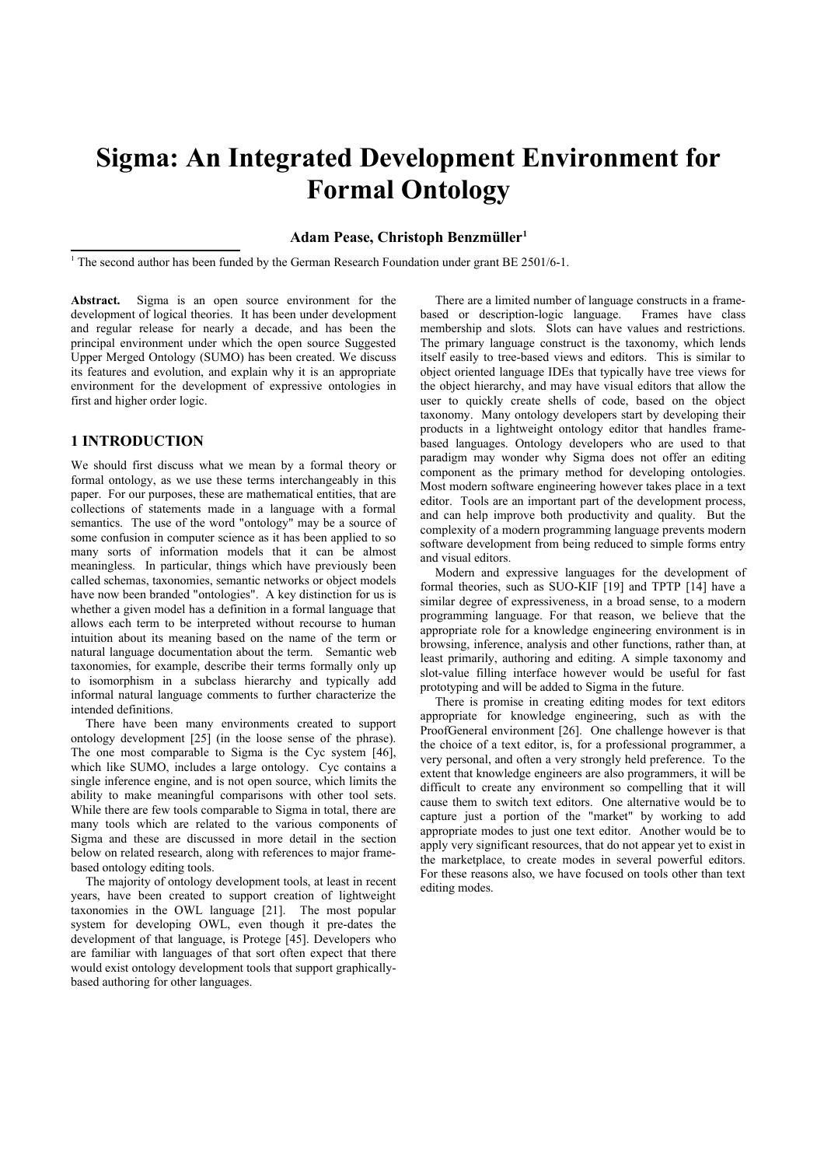# **Sigma: An Integrated Development Environment for Formal Ontology**

# **Adam Pease, Christoph Benzmüller[1](#page-0-0)**

<span id="page-0-0"></span><sup>1</sup> The second author has been funded by the German Research Foundation under grant BE 2501/6-1.

Abstract. Sigma is an open source environment for the development of logical theories. It has been under development and regular release for nearly a decade, and has been the principal environment under which the open source Suggested Upper Merged Ontology (SUMO) has been created. We discuss its features and evolution, and explain why it is an appropriate environment for the development of expressive ontologies in first and higher order logic.

# **1 INTRODUCTION**

We should first discuss what we mean by a formal theory or formal ontology, as we use these terms interchangeably in this paper. For our purposes, these are mathematical entities, that are collections of statements made in a language with a formal semantics. The use of the word "ontology" may be a source of some confusion in computer science as it has been applied to so many sorts of information models that it can be almost meaningless. In particular, things which have previously been called schemas, taxonomies, semantic networks or object models have now been branded "ontologies". A key distinction for us is whether a given model has a definition in a formal language that allows each term to be interpreted without recourse to human intuition about its meaning based on the name of the term or natural language documentation about the term. Semantic web taxonomies, for example, describe their terms formally only up to isomorphism in a subclass hierarchy and typically add informal natural language comments to further characterize the intended definitions.

There have been many environments created to support ontology development [25] (in the loose sense of the phrase). The one most comparable to Sigma is the Cyc system [46], which like SUMO, includes a large ontology. Cyc contains a single inference engine, and is not open source, which limits the ability to make meaningful comparisons with other tool sets. While there are few tools comparable to Sigma in total, there are many tools which are related to the various components of Sigma and these are discussed in more detail in the section below on related research, along with references to major framebased ontology editing tools.

The majority of ontology development tools, at least in recent years, have been created to support creation of lightweight taxonomies in the OWL language [21]. The most popular system for developing OWL, even though it pre-dates the development of that language, is Protege [45]. Developers who are familiar with languages of that sort often expect that there would exist ontology development tools that support graphicallybased authoring for other languages.

There are a limited number of language constructs in a framebased or description-logic language. Frames have class membership and slots. Slots can have values and restrictions. The primary language construct is the taxonomy, which lends itself easily to tree-based views and editors. This is similar to object oriented language IDEs that typically have tree views for the object hierarchy, and may have visual editors that allow the user to quickly create shells of code, based on the object taxonomy. Many ontology developers start by developing their products in a lightweight ontology editor that handles framebased languages. Ontology developers who are used to that paradigm may wonder why Sigma does not offer an editing component as the primary method for developing ontologies. Most modern software engineering however takes place in a text editor. Tools are an important part of the development process, and can help improve both productivity and quality. But the complexity of a modern programming language prevents modern software development from being reduced to simple forms entry and visual editors.

Modern and expressive languages for the development of formal theories, such as SUO-KIF [19] and TPTP [14] have a similar degree of expressiveness, in a broad sense, to a modern programming language. For that reason, we believe that the appropriate role for a knowledge engineering environment is in browsing, inference, analysis and other functions, rather than, at least primarily, authoring and editing. A simple taxonomy and slot-value filling interface however would be useful for fast prototyping and will be added to Sigma in the future.

There is promise in creating editing modes for text editors appropriate for knowledge engineering, such as with the ProofGeneral environment [26]. One challenge however is that the choice of a text editor, is, for a professional programmer, a very personal, and often a very strongly held preference. To the extent that knowledge engineers are also programmers, it will be difficult to create any environment so compelling that it will cause them to switch text editors. One alternative would be to capture just a portion of the "market" by working to add appropriate modes to just one text editor. Another would be to apply very significant resources, that do not appear yet to exist in the marketplace, to create modes in several powerful editors. For these reasons also, we have focused on tools other than text editing modes.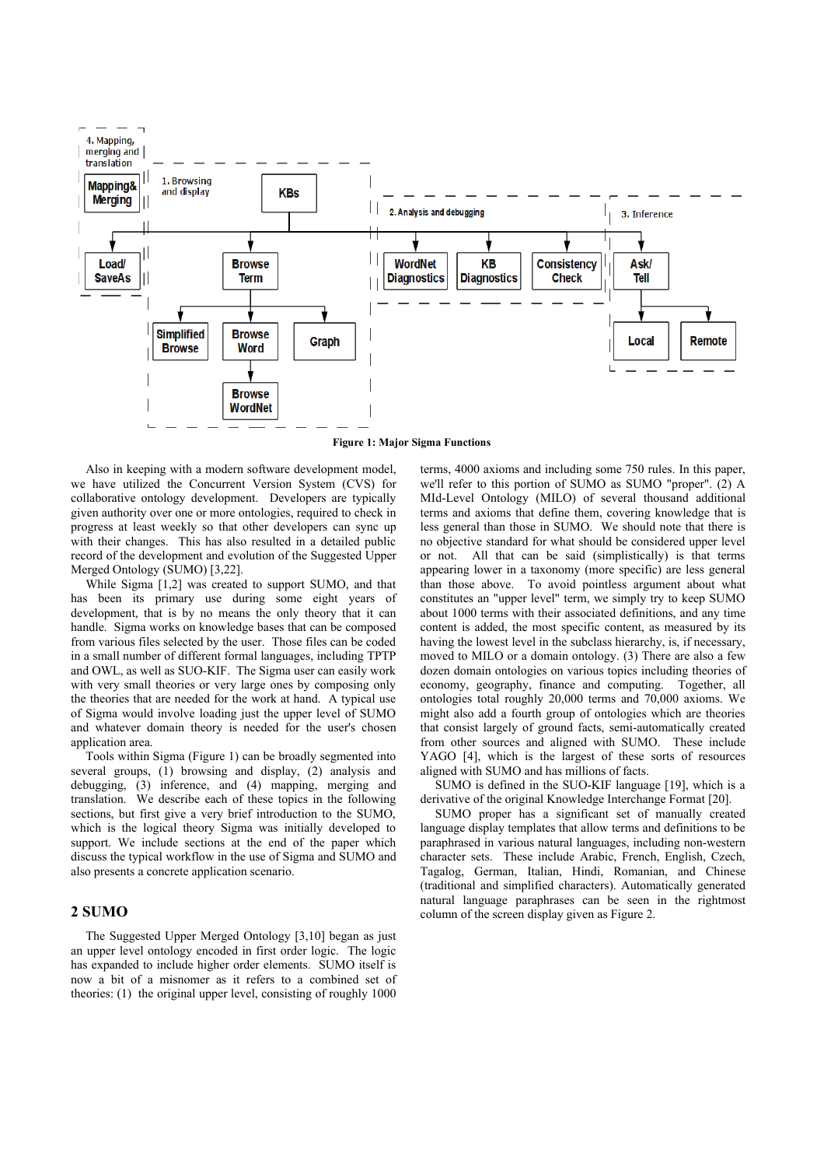

**Figure 1: Major Sigma Functions**

Also in keeping with a modern software development model, we have utilized the Concurrent Version System (CVS) for collaborative ontology development. Developers are typically given authority over one or more ontologies, required to check in progress at least weekly so that other developers can sync up with their changes. This has also resulted in a detailed public record of the development and evolution of the Suggested Upper Merged Ontology (SUMO) [3,22].

While Sigma [1,2] was created to support SUMO, and that has been its primary use during some eight years of development, that is by no means the only theory that it can handle. Sigma works on knowledge bases that can be composed from various files selected by the user. Those files can be coded in a small number of different formal languages, including TPTP and OWL, as well as SUO-KIF. The Sigma user can easily work with very small theories or very large ones by composing only the theories that are needed for the work at hand. A typical use of Sigma would involve loading just the upper level of SUMO and whatever domain theory is needed for the user's chosen application area.

Tools within Sigma (Figure 1) can be broadly segmented into several groups, (1) browsing and display, (2) analysis and debugging, (3) inference, and (4) mapping, merging and translation. We describe each of these topics in the following sections, but first give a very brief introduction to the SUMO, which is the logical theory Sigma was initially developed to support. We include sections at the end of the paper which discuss the typical workflow in the use of Sigma and SUMO and also presents a concrete application scenario.

## **2 SUMO**

The Suggested Upper Merged Ontology [3,10] began as just an upper level ontology encoded in first order logic. The logic has expanded to include higher order elements. SUMO itself is now a bit of a misnomer as it refers to a combined set of theories: (1) the original upper level, consisting of roughly 1000 terms, 4000 axioms and including some 750 rules. In this paper, we'll refer to this portion of SUMO as SUMO "proper". (2) A MId-Level Ontology (MILO) of several thousand additional terms and axioms that define them, covering knowledge that is less general than those in SUMO. We should note that there is no objective standard for what should be considered upper level or not. All that can be said (simplistically) is that terms appearing lower in a taxonomy (more specific) are less general than those above. To avoid pointless argument about what constitutes an "upper level" term, we simply try to keep SUMO about 1000 terms with their associated definitions, and any time content is added, the most specific content, as measured by its having the lowest level in the subclass hierarchy, is, if necessary, moved to MILO or a domain ontology. (3) There are also a few dozen domain ontologies on various topics including theories of economy, geography, finance and computing. Together, all ontologies total roughly 20,000 terms and 70,000 axioms. We might also add a fourth group of ontologies which are theories that consist largely of ground facts, semi-automatically created from other sources and aligned with SUMO. These include YAGO [4], which is the largest of these sorts of resources aligned with SUMO and has millions of facts.

SUMO is defined in the SUO-KIF language [19], which is a derivative of the original Knowledge Interchange Format [20].

SUMO proper has a significant set of manually created language display templates that allow terms and definitions to be paraphrased in various natural languages, including non-western character sets. These include Arabic, French, English, Czech, Tagalog, German, Italian, Hindi, Romanian, and Chinese (traditional and simplified characters). Automatically generated natural language paraphrases can be seen in the rightmost column of the screen display given as Figure 2.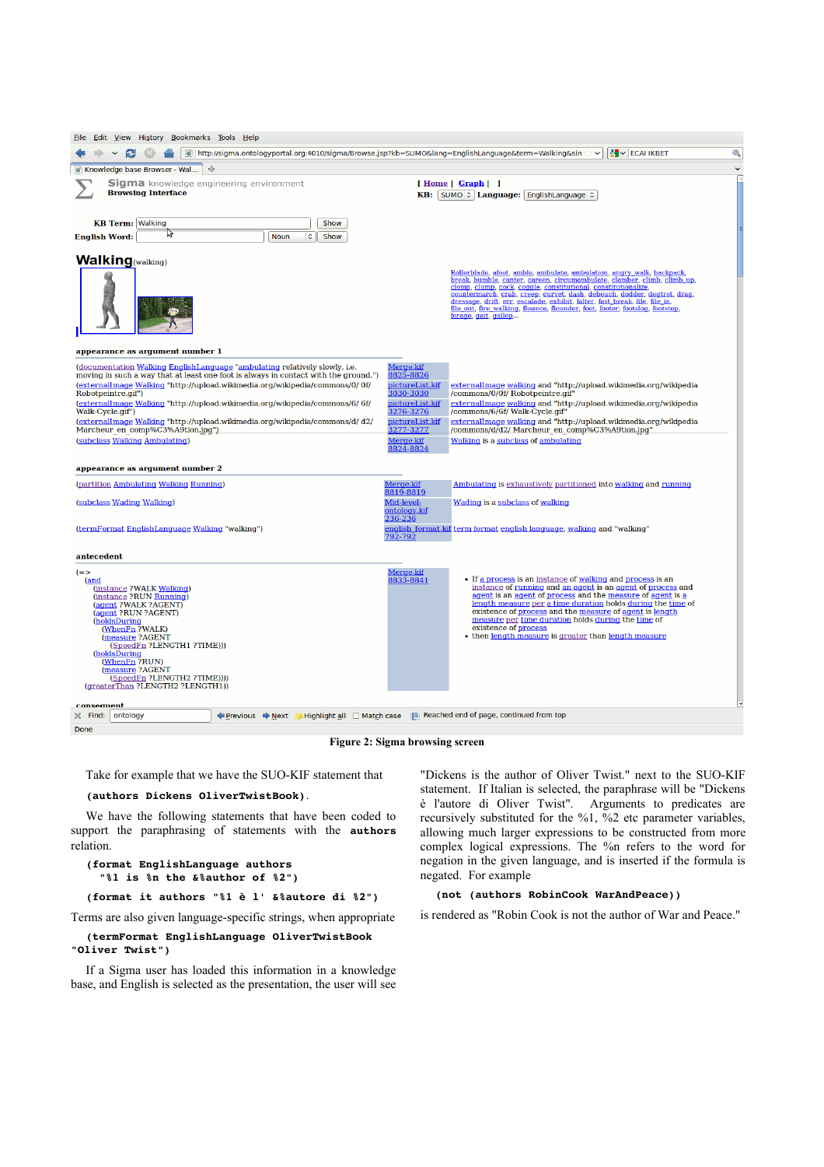| Edit View History Bookmarks Tools Help<br>File                                                                                                                                                                                                                                                                                           |                                                        |                                                                                                                                                                                                                                                                                                                                                                                                                                                                                         |  |  |
|------------------------------------------------------------------------------------------------------------------------------------------------------------------------------------------------------------------------------------------------------------------------------------------------------------------------------------------|--------------------------------------------------------|-----------------------------------------------------------------------------------------------------------------------------------------------------------------------------------------------------------------------------------------------------------------------------------------------------------------------------------------------------------------------------------------------------------------------------------------------------------------------------------------|--|--|
| $\bullet$<br><b>K</b> ECAI IKBET<br>http://sigma.ontologyportal.org:4010/sigma/Browse.jsp?kb=SUMO⟨=EnglishLanguage&term=Walking&sin<br>$\bullet$<br>$\check{ }$                                                                                                                                                                          |                                                        |                                                                                                                                                                                                                                                                                                                                                                                                                                                                                         |  |  |
| -4<br>$\check{~}$<br>Knowledge base Browser - Wal                                                                                                                                                                                                                                                                                        |                                                        |                                                                                                                                                                                                                                                                                                                                                                                                                                                                                         |  |  |
| Sigma knowledge engineering environment<br><b>Browsing Interface</b>                                                                                                                                                                                                                                                                     |                                                        | [Home   Graph   ]<br>KB: SUMO : Language: EnglishLanguage :                                                                                                                                                                                                                                                                                                                                                                                                                             |  |  |
| <b>KB Term: Walking</b><br>Show<br>パ<br><b>Noun</b><br>$\hat{\mathcal{L}}$<br><b>English Word:</b><br>Show                                                                                                                                                                                                                               |                                                        |                                                                                                                                                                                                                                                                                                                                                                                                                                                                                         |  |  |
| <b>Walking</b> (walking)                                                                                                                                                                                                                                                                                                                 |                                                        | Rollerblade, afoot, amble, ambulate, ambulation, angry walk, backpack,<br>break, bumble, canter, careen, circumambulate, clamber, climb, climb_up,<br>clomp, clump, cock, coggle, constitutional, constitutionalize,<br>countermarch, crab, creep, curvet, dash, debouch, dodder, dogtrot, drag,<br>dressage, drift, err, escalade, exhibit, falter, fast break, file, file in,<br>file out, fire walking, flounce, flounder, foot, footer, footslog, footstep,<br>forage, gait, gallop |  |  |
| appearance as argument number 1                                                                                                                                                                                                                                                                                                          |                                                        |                                                                                                                                                                                                                                                                                                                                                                                                                                                                                         |  |  |
| (documentation Walking English Language "ambulating relatively slowly, i.e.<br>moving in such a way that at least one foot is always in contact with the ground.")<br><u>(externalImage Walking "http://upload.wikimedia.org/wikipedia/commons/0/ 0f/</u><br>Robotpeintre.gif")                                                          | Merge.kif<br>8825-8826<br>pictureList.kif<br>3030-3030 | externalImage walking and "http://upload.wikimedia.org/wikipedia<br>/commons/0/0f/ Robotpeintre.gif"                                                                                                                                                                                                                                                                                                                                                                                    |  |  |
| (externalImage Walking "http://upload.wikimedia.org/wikipedia/commons/6/ 6f/<br>Walk-Cycle.gif")                                                                                                                                                                                                                                         | <u>pictureList.kif</u><br>3276-3276                    | externalImage walking and "http://upload.wikimedia.org/wikipedia<br>/commons/6/6f/ Walk-Cycle.gif"                                                                                                                                                                                                                                                                                                                                                                                      |  |  |
| (externalImage Walking "http://upload.wikimedia.org/wikipedia/commons/d/ d2/<br>Marcheur en comp%C3%A9tion.jpg")                                                                                                                                                                                                                         | pictureList.kif<br>3277-3277                           | externalImage walking and "http://upload.wikimedia.org/wikipedia<br>/commons/d/d2/ Marcheur en comp%C3%A9tion.jpg"                                                                                                                                                                                                                                                                                                                                                                      |  |  |
| (subclass Walking Ambulating)                                                                                                                                                                                                                                                                                                            | Merge.kif<br>8824-8824                                 | Walking is a subclass of ambulating                                                                                                                                                                                                                                                                                                                                                                                                                                                     |  |  |
| appearance as argument number 2                                                                                                                                                                                                                                                                                                          |                                                        |                                                                                                                                                                                                                                                                                                                                                                                                                                                                                         |  |  |
| (partition Ambulating Walking Running)                                                                                                                                                                                                                                                                                                   | Merge.kif<br>8819-8819                                 | Ambulating is exhaustively partitioned into walking and running                                                                                                                                                                                                                                                                                                                                                                                                                         |  |  |
| (subclass Wading Walking)                                                                                                                                                                                                                                                                                                                | Mid-level-<br>ontology.kif<br>236-236                  | Wading is a subclass of walking                                                                                                                                                                                                                                                                                                                                                                                                                                                         |  |  |
| (termFormat EnglishLanguage Walking "walking")                                                                                                                                                                                                                                                                                           | 792-792                                                | <u>english_format.kif term format english language, walking and "walking"</u>                                                                                                                                                                                                                                                                                                                                                                                                           |  |  |
| antecedent                                                                                                                                                                                                                                                                                                                               |                                                        |                                                                                                                                                                                                                                                                                                                                                                                                                                                                                         |  |  |
| $(=$<br>(and<br>(instance ?WALK Walking)<br>(instance ?RUN Running)<br>(agent ?WALK ?AGENT)<br>(agent ?RUN ?AGENT)<br>(holdsDuring<br>(WhenFn ?WALK)<br>(measure ?AGENT<br>(SpeedFn ?LENGTH1 ?TIME)))<br>(holdsDuring<br>(WhenFn ?RUN)<br>(measure ?AGENT<br>(SpeedFn ?LENGTH2 ?TIME))))<br>(greaterThan?LENGTH2?LENGTH1))<br>consequent | Merge.kif<br>8833-8841                                 | • If a process is an instance of walking and process is an<br>instance of running and an agent is an agent of process and<br>agent is an agent of process and the measure of agent is a<br>length measure per a time duration holds during the time of<br>existence of process and the measure of agent is length<br>measure per time duration holds during the time of<br>existence of process<br>• then length measure is greater than length measure                                 |  |  |
| Erevious ⇒ Next / Highlight all □ Match case 13 Reached end of page, continued from top<br>$\mathbb{X}$ Find:<br>ontology                                                                                                                                                                                                                |                                                        |                                                                                                                                                                                                                                                                                                                                                                                                                                                                                         |  |  |
| Done                                                                                                                                                                                                                                                                                                                                     |                                                        |                                                                                                                                                                                                                                                                                                                                                                                                                                                                                         |  |  |

**Figure 2: Sigma browsing screen**

Take for example that we have the SUO-KIF statement that

## **(authors Dickens OliverTwistBook)**.

We have the following statements that have been coded to support the paraphrasing of statements with the **authors** relation.

```
(format EnglishLanguage authors 
    "%1 is %n the &%author of %2")
```
**(format it authors "%1 è l' &%autore di %2")**

Terms are also given language-specific strings, when appropriate

## **(termFormat EnglishLanguage OliverTwistBook "Oliver Twist")**

If a Sigma user has loaded this information in a knowledge base, and English is selected as the presentation, the user will see

"Dickens is the author of Oliver Twist." next to the SUO-KIF statement. If Italian is selected, the paraphrase will be "Dickens è l'autore di Oliver Twist". Arguments to predicates are recursively substituted for the %1, %2 etc parameter variables, allowing much larger expressions to be constructed from more complex logical expressions. The %n refers to the word for negation in the given language, and is inserted if the formula is negated. For example

# **(not (authors RobinCook WarAndPeace))**

is rendered as "Robin Cook is not the author of War and Peace."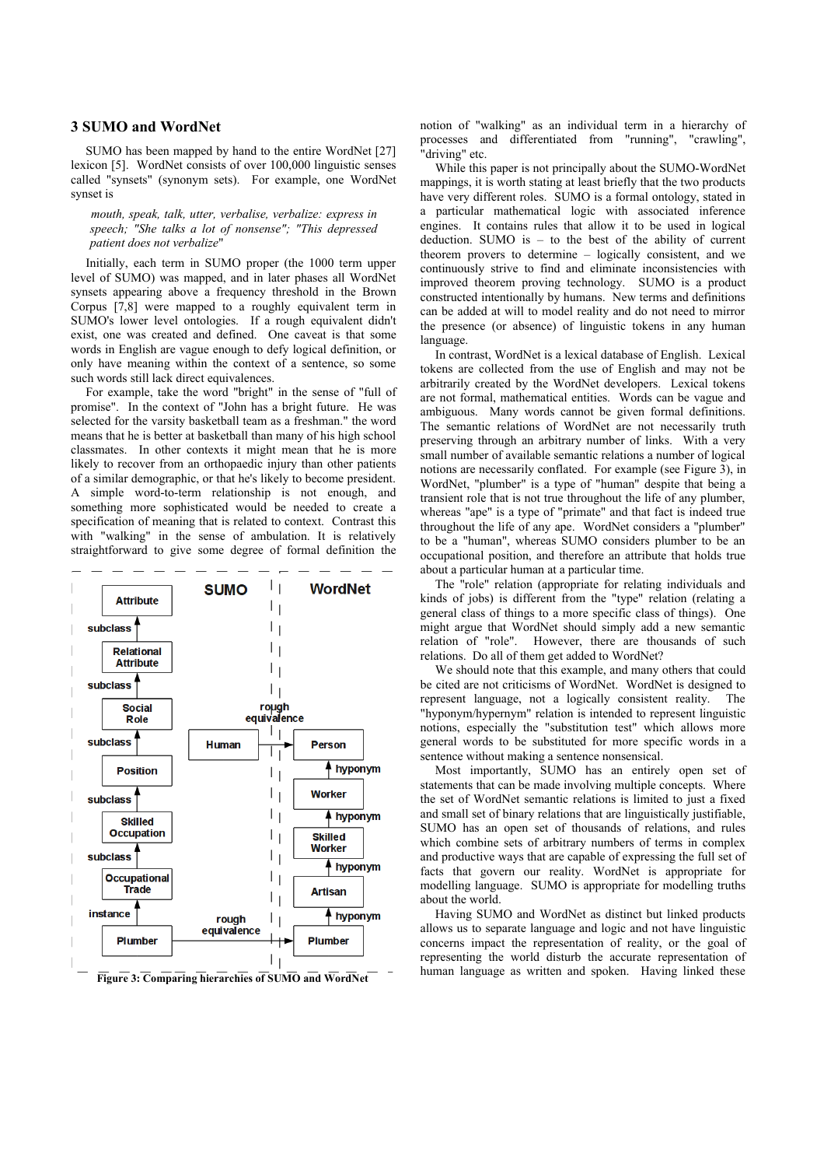## **3 SUMO and WordNet**

SUMO has been mapped by hand to the entire WordNet [27] lexicon [5]. WordNet consists of over 100,000 linguistic senses called "synsets" (synonym sets). For example, one WordNet synset is

*mouth, speak, talk, utter, verbalise, verbalize: express in speech; "She talks a lot of nonsense"; "This depressed patient does not verbalize*"

Initially, each term in SUMO proper (the 1000 term upper level of SUMO) was mapped, and in later phases all WordNet synsets appearing above a frequency threshold in the Brown Corpus [7,8] were mapped to a roughly equivalent term in SUMO's lower level ontologies. If a rough equivalent didn't exist, one was created and defined. One caveat is that some words in English are vague enough to defy logical definition, or only have meaning within the context of a sentence, so some such words still lack direct equivalences.

For example, take the word "bright" in the sense of "full of promise". In the context of "John has a bright future. He was selected for the varsity basketball team as a freshman." the word means that he is better at basketball than many of his high school classmates. In other contexts it might mean that he is more likely to recover from an orthopaedic injury than other patients of a similar demographic, or that he's likely to become president. A simple word-to-term relationship is not enough, and something more sophisticated would be needed to create a specification of meaning that is related to context. Contrast this with "walking" in the sense of ambulation. It is relatively straightforward to give some degree of formal definition the



<span id="page-3-0"></span>

notion of "walking" as an individual term in a hierarchy of processes and differentiated from "running", "crawling", "driving" etc.

While this paper is not principally about the SUMO-WordNet mappings, it is worth stating at least briefly that the two products have very different roles. SUMO is a formal ontology, stated in a particular mathematical logic with associated inference engines. It contains rules that allow it to be used in logical deduction. SUMO is – to the best of the ability of current theorem provers to determine – logically consistent, and we continuously strive to find and eliminate inconsistencies with improved theorem proving technology. SUMO is a product constructed intentionally by humans. New terms and definitions can be added at will to model reality and do not need to mirror the presence (or absence) of linguistic tokens in any human language.

In contrast, WordNet is a lexical database of English. Lexical tokens are collected from the use of English and may not be arbitrarily created by the WordNet developers. Lexical tokens are not formal, mathematical entities. Words can be vague and ambiguous. Many words cannot be given formal definitions. The semantic relations of WordNet are not necessarily truth preserving through an arbitrary number of links. With a very small number of available semantic relations a number of logical notions are necessarily conflated. For example (see [Figure 3\)](#page-3-0), in WordNet, "plumber" is a type of "human" despite that being a transient role that is not true throughout the life of any plumber, whereas "ape" is a type of "primate" and that fact is indeed true throughout the life of any ape. WordNet considers a "plumber" to be a "human", whereas SUMO considers plumber to be an occupational position, and therefore an attribute that holds true about a particular human at a particular time.

The "role" relation (appropriate for relating individuals and kinds of jobs) is different from the "type" relation (relating a general class of things to a more specific class of things). One might argue that WordNet should simply add a new semantic relation of "role". However, there are thousands of such relations. Do all of them get added to WordNet?

We should note that this example, and many others that could be cited are not criticisms of WordNet. WordNet is designed to represent language, not a logically consistent reality. The "hyponym/hypernym" relation is intended to represent linguistic notions, especially the "substitution test" which allows more general words to be substituted for more specific words in a sentence without making a sentence nonsensical.

Most importantly, SUMO has an entirely open set of statements that can be made involving multiple concepts. Where the set of WordNet semantic relations is limited to just a fixed and small set of binary relations that are linguistically justifiable, SUMO has an open set of thousands of relations, and rules which combine sets of arbitrary numbers of terms in complex and productive ways that are capable of expressing the full set of facts that govern our reality. WordNet is appropriate for modelling language. SUMO is appropriate for modelling truths about the world.

Having SUMO and WordNet as distinct but linked products allows us to separate language and logic and not have linguistic concerns impact the representation of reality, or the goal of representing the world disturb the accurate representation of Figure 3: Comparing hierarchies of SUMO and WordNet<sup>--</sup> human language as written and spoken. Having linked these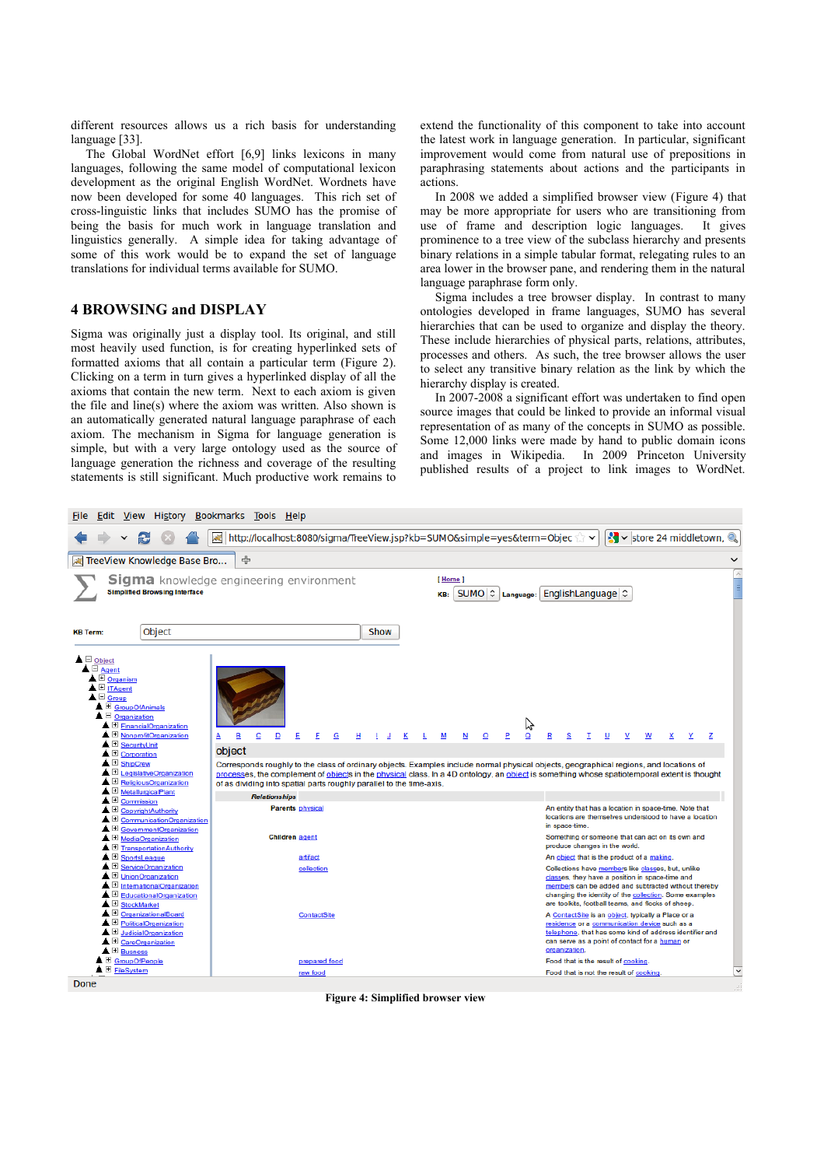different resources allows us a rich basis for understanding language [33].

The Global WordNet effort [6,9] links lexicons in many languages, following the same model of computational lexicon development as the original English WordNet. Wordnets have now been developed for some 40 languages. This rich set of cross-linguistic links that includes SUMO has the promise of being the basis for much work in language translation and linguistics generally. A simple idea for taking advantage of some of this work would be to expand the set of language translations for individual terms available for SUMO.

# **4 BROWSING and DISPLAY**

Sigma was originally just a display tool. Its original, and still most heavily used function, is for creating hyperlinked sets of formatted axioms that all contain a particular term (Figure 2). Clicking on a term in turn gives a hyperlinked display of all the axioms that contain the new term. Next to each axiom is given the file and line(s) where the axiom was written. Also shown is an automatically generated natural language paraphrase of each axiom. The mechanism in Sigma for language generation is simple, but with a very large ontology used as the source of language generation the richness and coverage of the resulting statements is still significant. Much productive work remains to extend the functionality of this component to take into account the latest work in language generation. In particular, significant improvement would come from natural use of prepositions in paraphrasing statements about actions and the participants in actions.

In 2008 we added a simplified browser view [\(Figure 4\)](#page-4-0) that may be more appropriate for users who are transitioning from use of frame and description logic languages. It gives prominence to a tree view of the subclass hierarchy and presents binary relations in a simple tabular format, relegating rules to an area lower in the browser pane, and rendering them in the natural language paraphrase form only.

Sigma includes a tree browser display. In contrast to many ontologies developed in frame languages, SUMO has several hierarchies that can be used to organize and display the theory. These include hierarchies of physical parts, relations, attributes, processes and others. As such, the tree browser allows the user to select any transitive binary relation as the link by which the hierarchy display is created.

In 2007-2008 a significant effort was undertaken to find open source images that could be linked to provide an informal visual representation of as many of the concepts in SUMO as possible. Some 12,000 links were made by hand to public domain icons and images in Wikipedia. In 2009 Princeton University published results of a project to link images to WordNet.



<span id="page-4-0"></span>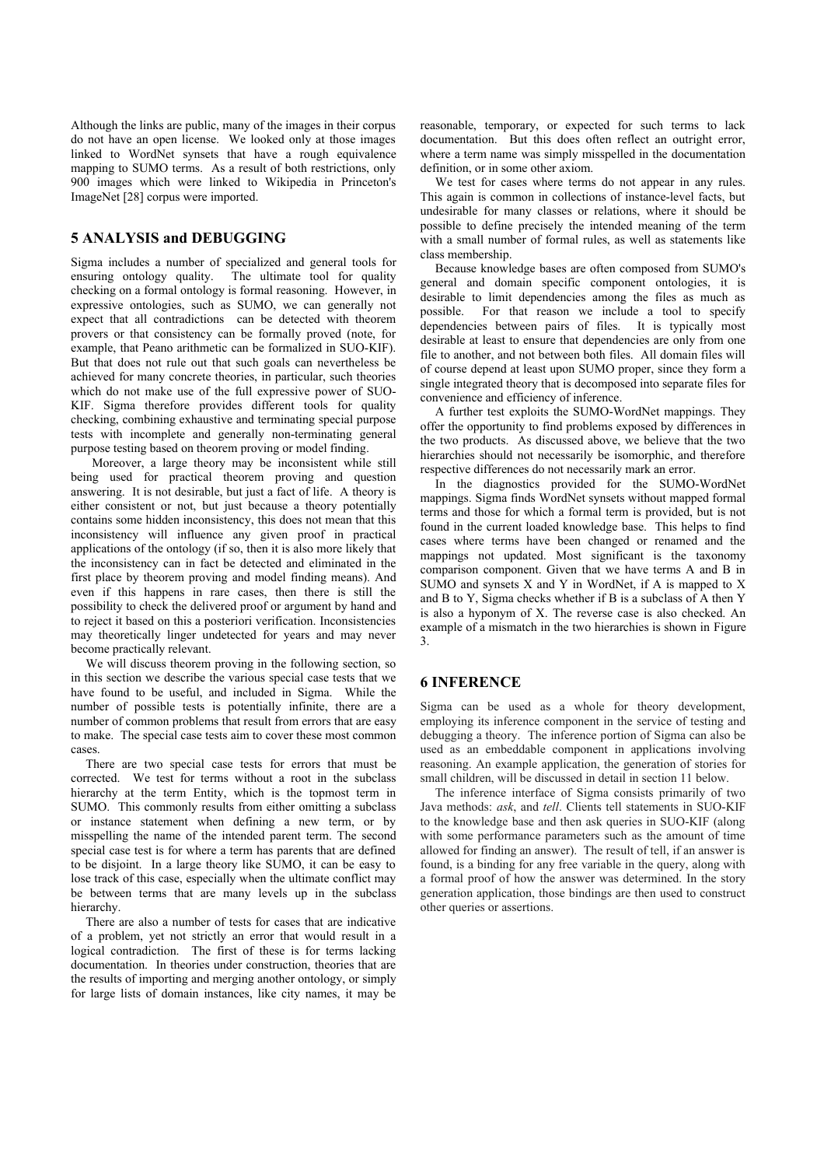Although the links are public, many of the images in their corpus do not have an open license. We looked only at those images linked to WordNet synsets that have a rough equivalence mapping to SUMO terms. As a result of both restrictions, only 900 images which were linked to Wikipedia in Princeton's ImageNet [28] corpus were imported.

# **5 ANALYSIS and DEBUGGING**

Sigma includes a number of specialized and general tools for ensuring ontology quality. The ultimate tool for quality checking on a formal ontology is formal reasoning. However, in expressive ontologies, such as SUMO, we can generally not expect that all contradictions can be detected with theorem provers or that consistency can be formally proved (note, for example, that Peano arithmetic can be formalized in SUO-KIF). But that does not rule out that such goals can nevertheless be achieved for many concrete theories, in particular, such theories which do not make use of the full expressive power of SUO-KIF. Sigma therefore provides different tools for quality checking, combining exhaustive and terminating special purpose tests with incomplete and generally non-terminating general purpose testing based on theorem proving or model finding.

 Moreover, a large theory may be inconsistent while still being used for practical theorem proving and question answering. It is not desirable, but just a fact of life. A theory is either consistent or not, but just because a theory potentially contains some hidden inconsistency, this does not mean that this inconsistency will influence any given proof in practical applications of the ontology (if so, then it is also more likely that the inconsistency can in fact be detected and eliminated in the first place by theorem proving and model finding means). And even if this happens in rare cases, then there is still the possibility to check the delivered proof or argument by hand and to reject it based on this a posteriori verification. Inconsistencies may theoretically linger undetected for years and may never become practically relevant.

We will discuss theorem proving in the following section, so in this section we describe the various special case tests that we have found to be useful, and included in Sigma. While the number of possible tests is potentially infinite, there are a number of common problems that result from errors that are easy to make. The special case tests aim to cover these most common cases.

There are two special case tests for errors that must be corrected. We test for terms without a root in the subclass hierarchy at the term Entity, which is the topmost term in SUMO. This commonly results from either omitting a subclass or instance statement when defining a new term, or by misspelling the name of the intended parent term. The second special case test is for where a term has parents that are defined to be disjoint. In a large theory like SUMO, it can be easy to lose track of this case, especially when the ultimate conflict may be between terms that are many levels up in the subclass hierarchy.

There are also a number of tests for cases that are indicative of a problem, yet not strictly an error that would result in a logical contradiction. The first of these is for terms lacking documentation. In theories under construction, theories that are the results of importing and merging another ontology, or simply for large lists of domain instances, like city names, it may be reasonable, temporary, or expected for such terms to lack documentation. But this does often reflect an outright error, where a term name was simply misspelled in the documentation definition, or in some other axiom.

We test for cases where terms do not appear in any rules. This again is common in collections of instance-level facts, but undesirable for many classes or relations, where it should be possible to define precisely the intended meaning of the term with a small number of formal rules, as well as statements like class membership.

Because knowledge bases are often composed from SUMO's general and domain specific component ontologies, it is desirable to limit dependencies among the files as much as possible. For that reason we include a tool to specify dependencies between pairs of files. It is typically most desirable at least to ensure that dependencies are only from one file to another, and not between both files. All domain files will of course depend at least upon SUMO proper, since they form a single integrated theory that is decomposed into separate files for convenience and efficiency of inference.

A further test exploits the SUMO-WordNet mappings. They offer the opportunity to find problems exposed by differences in the two products. As discussed above, we believe that the two hierarchies should not necessarily be isomorphic, and therefore respective differences do not necessarily mark an error.

In the diagnostics provided for the SUMO-WordNet mappings. Sigma finds WordNet synsets without mapped formal terms and those for which a formal term is provided, but is not found in the current loaded knowledge base. This helps to find cases where terms have been changed or renamed and the mappings not updated. Most significant is the taxonomy comparison component. Given that we have terms A and B in SUMO and synsets X and Y in WordNet, if A is mapped to X and B to Y, Sigma checks whether if B is a subclass of A then Y is also a hyponym of X. The reverse case is also checked. An example of a mismatch in the two hierarchies is shown in [Figure](#page-3-0) [3.](#page-3-0)

# **6 INFERENCE**

Sigma can be used as a whole for theory development, employing its inference component in the service of testing and debugging a theory. The inference portion of Sigma can also be used as an embeddable component in applications involving reasoning. An example application, the generation of stories for small children, will be discussed in detail in section 11 below.

The inference interface of Sigma consists primarily of two Java methods: *ask*, and *tell*. Clients tell statements in SUO-KIF to the knowledge base and then ask queries in SUO-KIF (along with some performance parameters such as the amount of time allowed for finding an answer). The result of tell, if an answer is found, is a binding for any free variable in the query, along with a formal proof of how the answer was determined. In the story generation application, those bindings are then used to construct other queries or assertions.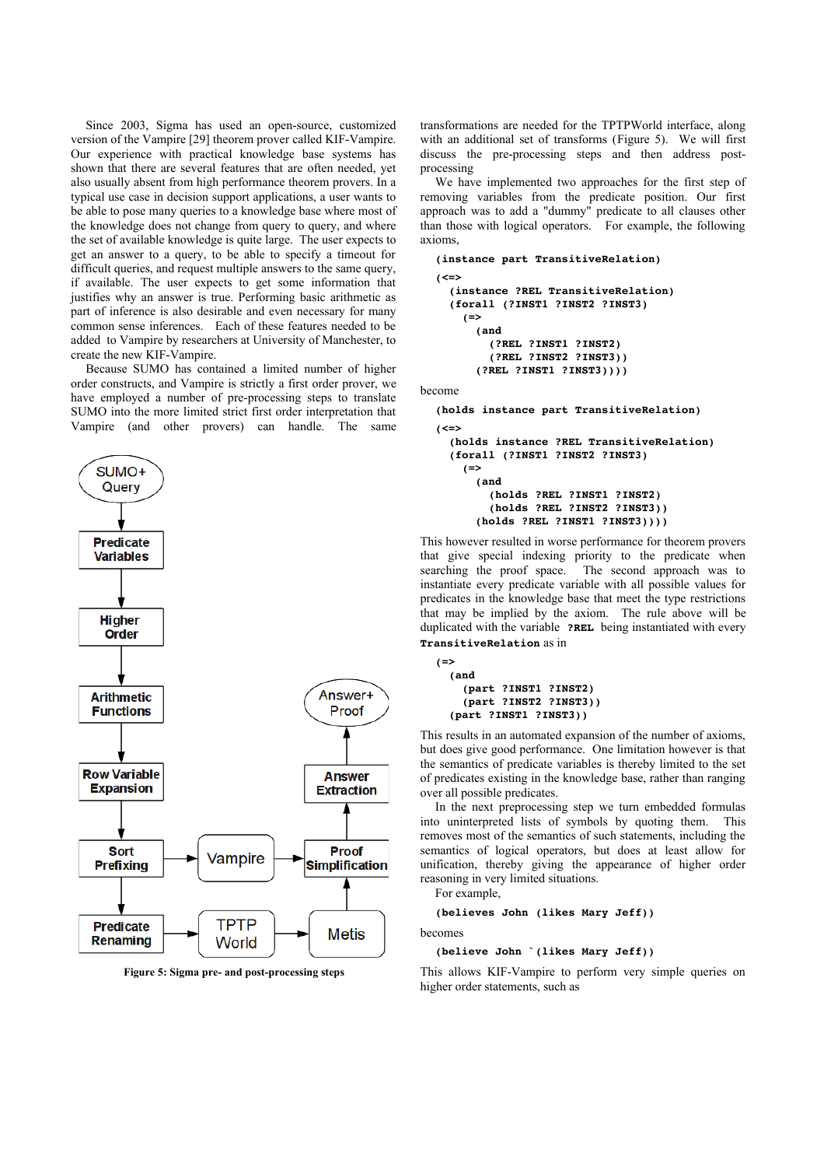Since 2003, Sigma has used an open-source, customized version of the Vampire [29] theorem prover called KIF-Vampire. Our experience with practical knowledge base systems has shown that there are several features that are often needed, yet also usually absent from high performance theorem provers. In a typical use case in decision support applications, a user wants to be able to pose many queries to a knowledge base where most of the knowledge does not change from query to query, and where the set of available knowledge is quite large. The user expects to get an answer to a query, to be able to specify a timeout for difficult queries, and request multiple answers to the same query, if available. The user expects to get some information that justifies why an answer is true. Performing basic arithmetic as part of inference is also desirable and even necessary for many common sense inferences. Each of these features needed to be added to Vampire by researchers at University of Manchester, to create the new KIF-Vampire.

Because SUMO has contained a limited number of higher order constructs, and Vampire is strictly a first order prover, we have employed a number of pre-processing steps to translate SUMO into the more limited strict first order interpretation that Vampire (and other provers) can handle. The same



<span id="page-6-0"></span>**Figure 5: Sigma pre- and post-processing steps**

transformations are needed for the TPTPWorld interface, along with an additional set of transforms [\(Figure 5\)](#page-6-0). We will first discuss the pre-processing steps and then address postprocessing

We have implemented two approaches for the first step of removing variables from the predicate position. Our first approach was to add a "dummy" predicate to all clauses other than those with logical operators. For example, the following axioms,

```
(instance part TransitiveRelation)
(<=>
    (instance ?REL TransitiveRelation)
    (forall (?INST1 ?INST2 ?INST3)
        (=>
             (and
                 (?REL ?INST1 ?INST2)
                 (?REL ?INST2 ?INST3))
             (?REL ?INST1 ?INST3))))
```
become

**(holds instance part TransitiveRelation) (<=> (holds instance ?REL TransitiveRelation) (forall (?INST1 ?INST2 ?INST3)**  $(=$  **(and (holds ?REL ?INST1 ?INST2) (holds ?REL ?INST2 ?INST3)) (holds ?REL ?INST1 ?INST3))))**

This however resulted in worse performance for theorem provers that give special indexing priority to the predicate when searching the proof space. The second approach was to instantiate every predicate variable with all possible values for predicates in the knowledge base that meet the type restrictions that may be implied by the axiom. The rule above will be duplicated with the variable **?REL** being instantiated with every **TransitiveRelation** as in

```
(=>
    (and
        (part ?INST1 ?INST2)
        (part ?INST2 ?INST3))
    (part ?INST1 ?INST3))
```
This results in an automated expansion of the number of axioms, but does give good performance. One limitation however is that the semantics of predicate variables is thereby limited to the set of predicates existing in the knowledge base, rather than ranging over all possible predicates.

In the next preprocessing step we turn embedded formulas into uninterpreted lists of symbols by quoting them. This removes most of the semantics of such statements, including the semantics of logical operators, but does at least allow for unification, thereby giving the appearance of higher order reasoning in very limited situations.

For example,

#### **(believes John (likes Mary Jeff))**

becomes

#### **(believe John `(likes Mary Jeff))**

This allows KIF-Vampire to perform very simple queries on higher order statements, such as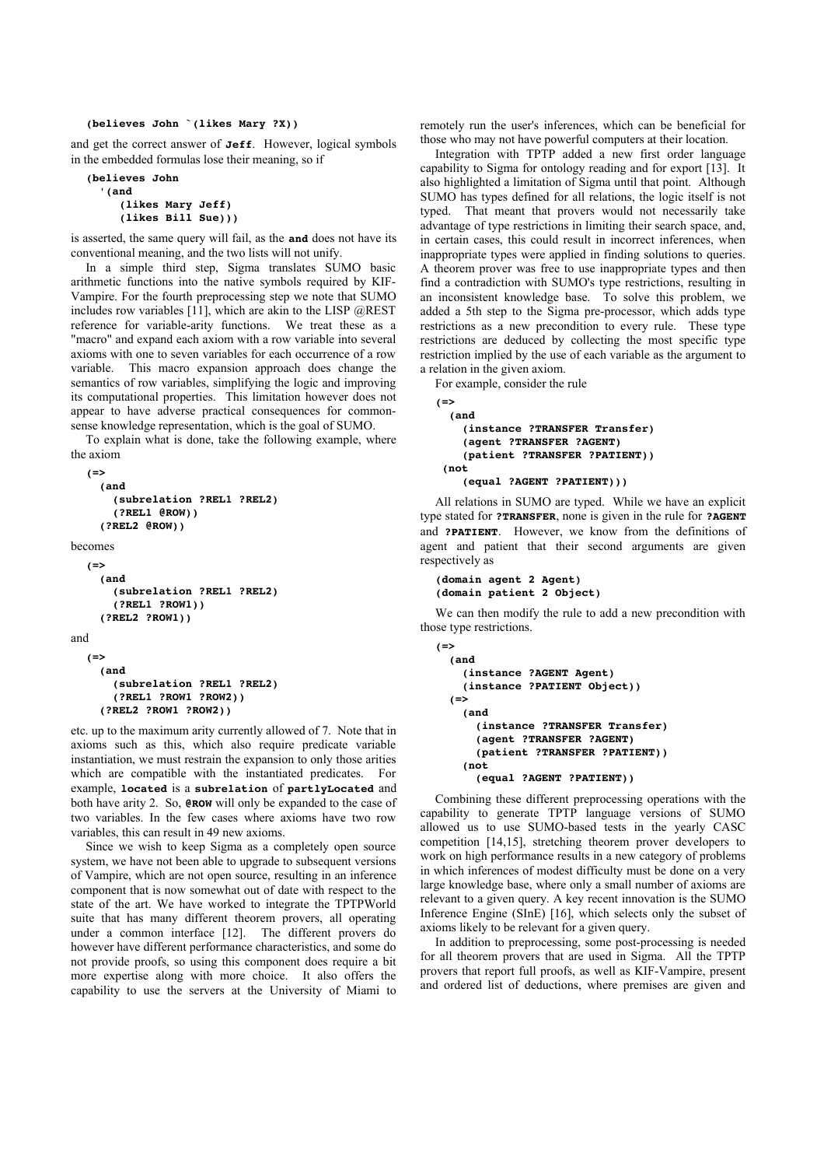#### **(believes John `(likes Mary ?X))**

and get the correct answer of **Jeff**. However, logical symbols in the embedded formulas lose their meaning, so if

```
(believes John 
     '(and 
           (likes Mary Jeff) 
           (likes Bill Sue)))
```
is asserted, the same query will fail, as the **and** does not have its conventional meaning, and the two lists will not unify.

In a simple third step, Sigma translates SUMO basic arithmetic functions into the native symbols required by KIF-Vampire. For the fourth preprocessing step we note that SUMO includes row variables  $[11]$ , which are akin to the LISP  $@REST$ reference for variable-arity functions. We treat these as a "macro" and expand each axiom with a row variable into several axioms with one to seven variables for each occurrence of a row variable. This macro expansion approach does change the semantics of row variables, simplifying the logic and improving its computational properties. This limitation however does not appear to have adverse practical consequences for commonsense knowledge representation, which is the goal of SUMO.

To explain what is done, take the following example, where the axiom

```
(=>
       (and
            (subrelation ?REL1 ?REL2)
            (?REL1 @ROW))
       (?REL2 @ROW))
becomes
  (=>
       (and
            (subrelation ?REL1 ?REL2)
            (?REL1 ?ROW1))
       (?REL2 ?ROW1))
and
   (=>
       (and
            (subrelation ?REL1 ?REL2)
            (?REL1 ?ROW1 ?ROW2))
```
 **(?REL2 ?ROW1 ?ROW2))**

etc. up to the maximum arity currently allowed of 7. Note that in axioms such as this, which also require predicate variable instantiation, we must restrain the expansion to only those arities which are compatible with the instantiated predicates. For example, **located** is a **subrelation** of **partlyLocated** and both have arity 2. So, **@ROW** will only be expanded to the case of two variables. In the few cases where axioms have two row variables, this can result in 49 new axioms.

Since we wish to keep Sigma as a completely open source system, we have not been able to upgrade to subsequent versions of Vampire, which are not open source, resulting in an inference component that is now somewhat out of date with respect to the state of the art. We have worked to integrate the TPTPWorld suite that has many different theorem provers, all operating under a common interface [12]. The different provers do however have different performance characteristics, and some do not provide proofs, so using this component does require a bit more expertise along with more choice. It also offers the capability to use the servers at the University of Miami to remotely run the user's inferences, which can be beneficial for those who may not have powerful computers at their location.

Integration with TPTP added a new first order language capability to Sigma for ontology reading and for export [13]. It also highlighted a limitation of Sigma until that point. Although SUMO has types defined for all relations, the logic itself is not typed. That meant that provers would not necessarily take advantage of type restrictions in limiting their search space, and, in certain cases, this could result in incorrect inferences, when inappropriate types were applied in finding solutions to queries. A theorem prover was free to use inappropriate types and then find a contradiction with SUMO's type restrictions, resulting in an inconsistent knowledge base. To solve this problem, we added a 5th step to the Sigma pre-processor, which adds type restrictions as a new precondition to every rule. These type restrictions are deduced by collecting the most specific type restriction implied by the use of each variable as the argument to a relation in the given axiom.

For example, consider the rule

```
(=>
    (and
        (instance ?TRANSFER Transfer)
        (agent ?TRANSFER ?AGENT)
        (patient ?TRANSFER ?PATIENT))
 (not
        (equal ?AGENT ?PATIENT)))
```
All relations in SUMO are typed. While we have an explicit type stated for **?TRANSFER**, none is given in the rule for **?AGENT** and **?PATIENT**. However, we know from the definitions of agent and patient that their second arguments are given respectively as

```
(domain agent 2 Agent)
(domain patient 2 Object)
```
We can then modify the rule to add a new precondition with those type restrictions.

```
(=>
    (and
         (instance ?AGENT Agent)
         (instance ?PATIENT Object))
  (=)    (and
             (instance ?TRANSFER Transfer) 
             (agent ?TRANSFER ?AGENT)
             (patient ?TRANSFER ?PATIENT))
         (not
             (equal ?AGENT ?PATIENT))
```
Combining these different preprocessing operations with the capability to generate TPTP language versions of SUMO allowed us to use SUMO-based tests in the yearly CASC competition [14,15], stretching theorem prover developers to work on high performance results in a new category of problems in which inferences of modest difficulty must be done on a very large knowledge base, where only a small number of axioms are relevant to a given query. A key recent innovation is the SUMO Inference Engine (SInE) [16], which selects only the subset of axioms likely to be relevant for a given query.

In addition to preprocessing, some post-processing is needed for all theorem provers that are used in Sigma. All the TPTP provers that report full proofs, as well as KIF-Vampire, present and ordered list of deductions, where premises are given and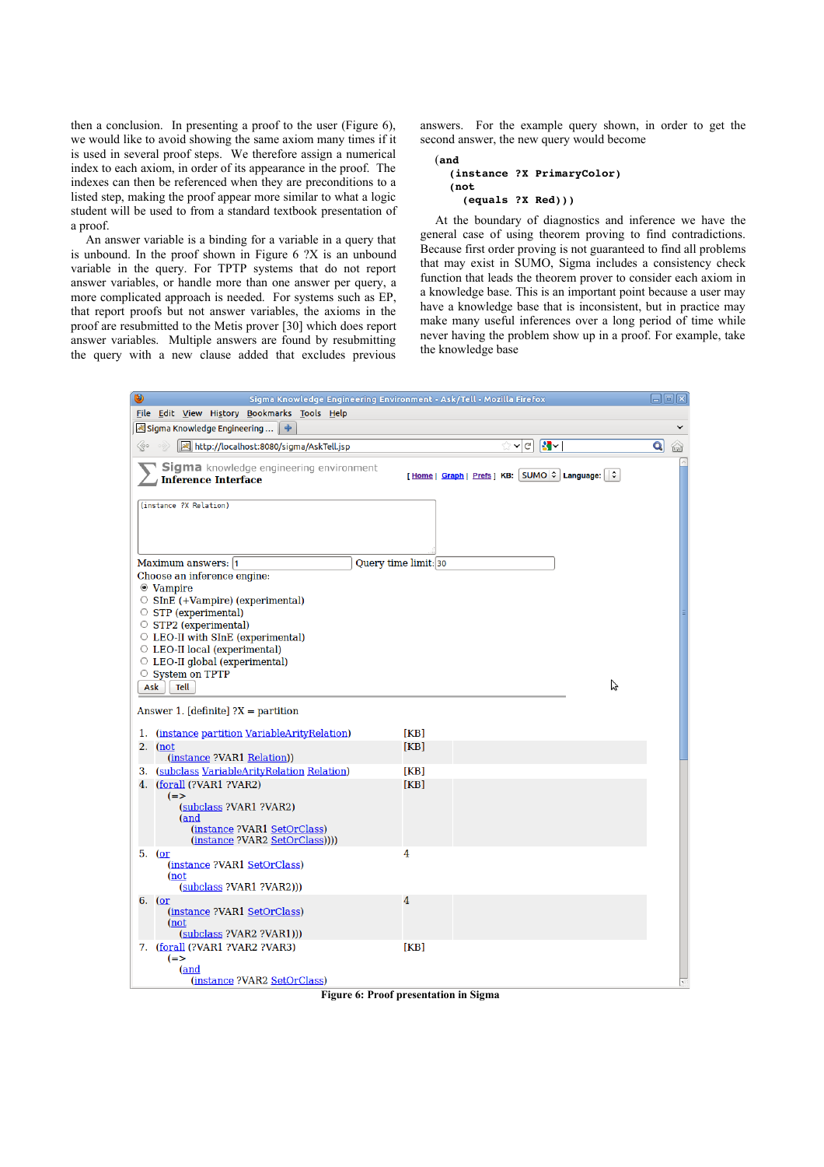then a conclusion. In presenting a proof to the user (Figure 6), we would like to avoid showing the same axiom many times if it is used in several proof steps. We therefore assign a numerical index to each axiom, in order of its appearance in the proof. The indexes can then be referenced when they are preconditions to a listed step, making the proof appear more similar to what a logic student will be used to from a standard textbook presentation of a proof.

An answer variable is a binding for a variable in a query that is unbound. In the proof shown in [Figure 6](#page-8-0) ?X is an unbound variable in the query. For TPTP systems that do not report answer variables, or handle more than one answer per query, a more complicated approach is needed. For systems such as EP, that report proofs but not answer variables, the axioms in the proof are resubmitted to the Metis prover [30] which does report answer variables. Multiple answers are found by resubmitting the query with a new clause added that excludes previous answers. For the example query shown, in order to get the second answer, the new query would become

#### (**and (instance ?X PrimaryColor) (not (equals ?X Red)))**

At the boundary of diagnostics and inference we have the general case of using theorem proving to find contradictions. Because first order proving is not guaranteed to find all problems that may exist in SUMO, Sigma includes a consistency check function that leads the theorem prover to consider each axiom in a knowledge base. This is an important point because a user may have a knowledge base that is inconsistent, but in practice may make many useful inferences over a long period of time while never having the problem show up in a proof. For example, take the knowledge base

| ۱                                                                     | Sigma Knowledge Engineering Environment - Ask/Tell - Mozilla Firefox | $\Box$ ek         |
|-----------------------------------------------------------------------|----------------------------------------------------------------------|-------------------|
| File Edit View History Bookmarks Tools Help                           |                                                                      |                   |
| <mark>द्ध</mark> Sigma Knowledge Engineering    <del>↓</del>          |                                                                      |                   |
| ≪∘<br>http://localhost:8080/sigma/AskTell.jsp                         | $ \mathbf{S} \times$<br>☆×cl                                         | $\mathbf{Q}$<br>₩ |
| Sigma knowledge engineering environment<br><b>Inference Interface</b> | [Home   Graph   Prefs ] KB: SUMO C Language: C                       |                   |
| (instance ?X Relation)                                                |                                                                      |                   |
| Maximum answers: 1                                                    | Query time limit: 30                                                 |                   |
| Choose an inference engine:                                           |                                                                      |                   |
| ◉ Vampire<br>$\circ$ SInE (+Vampire) (experimental)                   |                                                                      |                   |
| $\circ$ STP (experimental)                                            |                                                                      |                   |
| $\circ$ STP2 (experimental)                                           |                                                                      |                   |
| $\circ$ LEO-II with SInE (experimental)                               |                                                                      |                   |
| ○ LEO-II local (experimental)<br>$\circ$ LEO-II global (experimental) |                                                                      |                   |
| ○ System on TPTP                                                      |                                                                      |                   |
| Ask<br>Tell                                                           | グ                                                                    |                   |
|                                                                       |                                                                      |                   |
| Answer 1. [definite] $?X =$ partition                                 |                                                                      |                   |
| 1. (instance partition VariableArityRelation)                         | [KB]                                                                 |                   |
| $2.$ (not<br>(instance ?VAR1 Relation))                               | [KB]                                                                 |                   |
| 3. (subclass VariableArityRelation Relation)                          | [KB]                                                                 |                   |
| 4. (forall (?VAR1 ?VAR2)                                              | [KB]                                                                 |                   |
| $(=>$<br>(subclass ?VAR1 ?VAR2)                                       |                                                                      |                   |
| (and                                                                  |                                                                      |                   |
| (instance ?VAR1 SetOrClass)                                           |                                                                      |                   |
| (instance ?VAR2 SetOrClass))))<br>5. (or                              | 4                                                                    |                   |
| (instance ?VAR1 SetOrClass)                                           |                                                                      |                   |
| (not                                                                  |                                                                      |                   |
| $(subclass$ ?VAR1 ?VAR2 $))$<br>6. (or                                | 4                                                                    |                   |
| (instance ?VAR1 SetOrClass)                                           |                                                                      |                   |
| (not                                                                  |                                                                      |                   |
| $(subclass$ ?VAR2 ?VAR1)))<br>7. (forall (?VAR1 ?VAR2 ?VAR3)          | [KB]                                                                 |                   |
| $(=>$                                                                 |                                                                      |                   |
| (and                                                                  |                                                                      |                   |
| (instance ?VAR2 SetOrClass)                                           |                                                                      |                   |

<span id="page-8-0"></span>**Figure 6: Proof presentation in Sigma**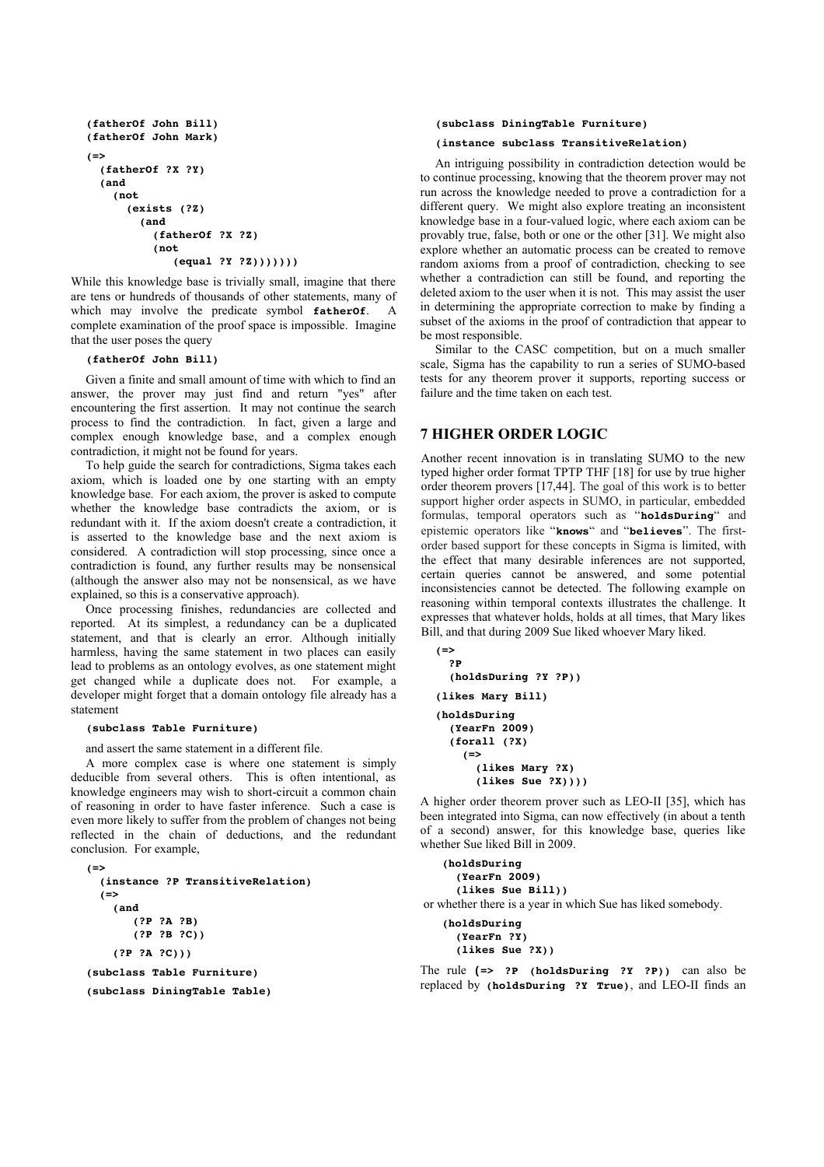```
(fatherOf John Bill)
(fatherOf John Mark)
(=>
    (fatherOf ?X ?Y)
    (and 
         (not  
              (exists (?Z)
                  (and
                       (fatherOf ?X ?Z)
             (not)(equal ?Y ?Z))))))
```
While this knowledge base is trivially small, imagine that there are tens or hundreds of thousands of other statements, many of which may involve the predicate symbol fatherOf. complete examination of the proof space is impossible. Imagine that the user poses the query

# **(fatherOf John Bill)**

Given a finite and small amount of time with which to find an answer, the prover may just find and return "yes" after encountering the first assertion. It may not continue the search process to find the contradiction. In fact, given a large and complex enough knowledge base, and a complex enough contradiction, it might not be found for years.

To help guide the search for contradictions, Sigma takes each axiom, which is loaded one by one starting with an empty knowledge base. For each axiom, the prover is asked to compute whether the knowledge base contradicts the axiom, or is redundant with it. If the axiom doesn't create a contradiction, it is asserted to the knowledge base and the next axiom is considered. A contradiction will stop processing, since once a contradiction is found, any further results may be nonsensical (although the answer also may not be nonsensical, as we have explained, so this is a conservative approach).

Once processing finishes, redundancies are collected and reported. At its simplest, a redundancy can be a duplicated statement, and that is clearly an error. Although initially harmless, having the same statement in two places can easily lead to problems as an ontology evolves, as one statement might get changed while a duplicate does not. For example, a developer might forget that a domain ontology file already has a statement

#### **(subclass Table Furniture)**

and assert the same statement in a different file.

A more complex case is where one statement is simply deducible from several others. This is often intentional, as knowledge engineers may wish to short-circuit a common chain of reasoning in order to have faster inference. Such a case is even more likely to suffer from the problem of changes not being reflected in the chain of deductions, and the redundant conclusion. For example,

```
(=>
    (instance ?P TransitiveRelation)
  (=)    (and
               (?P ?A ?B)
               (?P ?B ?C))
        (?P ?A ?C)))
(subclass Table Furniture)
(subclass DiningTable Table)
```
## **(subclass DiningTable Furniture)**

**(instance subclass TransitiveRelation)**

An intriguing possibility in contradiction detection would be to continue processing, knowing that the theorem prover may not run across the knowledge needed to prove a contradiction for a different query. We might also explore treating an inconsistent knowledge base in a four-valued logic, where each axiom can be provably true, false, both or one or the other [31]. We might also explore whether an automatic process can be created to remove random axioms from a proof of contradiction, checking to see whether a contradiction can still be found, and reporting the deleted axiom to the user when it is not. This may assist the user in determining the appropriate correction to make by finding a subset of the axioms in the proof of contradiction that appear to be most responsible.

Similar to the CASC competition, but on a much smaller scale, Sigma has the capability to run a series of SUMO-based tests for any theorem prover it supports, reporting success or failure and the time taken on each test.

# **7 HIGHER ORDER LOGIC**

Another recent innovation is in translating SUMO to the new typed higher order format TPTP THF [18] for use by true higher order theorem provers [17,44]. The goal of this work is to better support higher order aspects in SUMO, in particular, embedded formulas, temporal operators such as "**holdsDuring**" and epistemic operators like "**knows**" and "**believes**". The firstorder based support for these concepts in Sigma is limited, with the effect that many desirable inferences are not supported, certain queries cannot be answered, and some potential inconsistencies cannot be detected. The following example on reasoning within temporal contexts illustrates the challenge. It expresses that whatever holds, holds at all times, that Mary likes Bill, and that during 2009 Sue liked whoever Mary liked.

```
(=>
    ?P
    (holdsDuring ?Y ?P))
(likes Mary Bill) 
(holdsDuring 
    (YearFn 2009) 
    (forall (?X) 
     ( \Rightarrow      (likes Mary ?X) 
       (likes Sue ?X))
```
A higher order theorem prover such as LEO-II [35], which has been integrated into Sigma, can now effectively (in about a tenth of a second) answer, for this knowledge base, queries like whether Sue liked Bill in 2009.

```
(holdsDuring
         (YearFn 2009)
         (likes Sue Bill))
 or whether there is a year in which Sue has liked somebody.
```

```
(holdsDuring
     (YearFn ?Y)
     (likes Sue ?X))
```
The rule **(=> ?P (holdsDuring ?Y ?P))** can also be replaced by **(holdsDuring ?Y True)**, and LEO-II finds an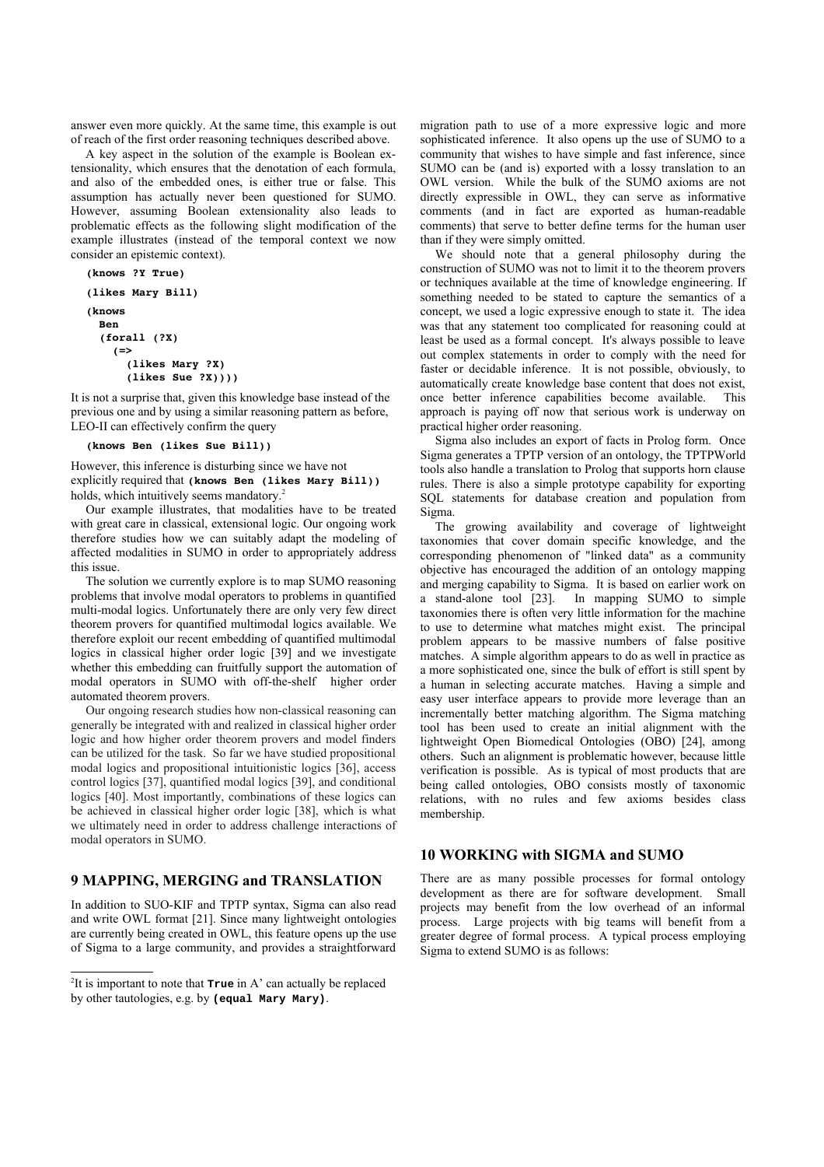answer even more quickly. At the same time, this example is out of reach of the first order reasoning techniques described above.

 A key aspect in the solution of the example is Boolean extensionality, which ensures that the denotation of each formula, and also of the embedded ones, is either true or false. This assumption has actually never been questioned for SUMO. However, assuming Boolean extensionality also leads to problematic effects as the following slight modification of the example illustrates (instead of the temporal context we now consider an epistemic context).

```
(knows ?Y True)
(likes Mary Bill)
(knows
    Ben
    (forall (?X) 
        (=> 
             (likes Mary ?X) 
       (likes Sue ?X))
```
It is not a surprise that, given this knowledge base instead of the previous one and by using a similar reasoning pattern as before, LEO-II can effectively confirm the query

### **(knows Ben (likes Sue Bill))**

However, this inference is disturbing since we have not explicitly required that **(knows Ben (likes Mary Bill))** holds, which intuitively seems mandatory.<sup>[2](#page-10-0)</sup>

Our example illustrates, that modalities have to be treated with great care in classical, extensional logic. Our ongoing work therefore studies how we can suitably adapt the modeling of affected modalities in SUMO in order to appropriately address this issue.

The solution we currently explore is to map SUMO reasoning problems that involve modal operators to problems in quantified multi-modal logics. Unfortunately there are only very few direct theorem provers for quantified multimodal logics available. We therefore exploit our recent embedding of quantified multimodal logics in classical higher order logic [39] and we investigate whether this embedding can fruitfully support the automation of modal operators in SUMO with off-the-shelf higher order automated theorem provers.

Our ongoing research studies how non-classical reasoning can generally be integrated with and realized in classical higher order logic and how higher order theorem provers and model finders can be utilized for the task. So far we have studied propositional modal logics and propositional intuitionistic logics [36], access control logics [37], quantified modal logics [39], and conditional logics [40]. Most importantly, combinations of these logics can be achieved in classical higher order logic [38], which is what we ultimately need in order to address challenge interactions of modal operators in SUMO.

# **9 MAPPING, MERGING and TRANSLATION**

In addition to SUO-KIF and TPTP syntax, Sigma can also read and write OWL format [21]. Since many lightweight ontologies are currently being created in OWL, this feature opens up the use of Sigma to a large community, and provides a straightforward migration path to use of a more expressive logic and more sophisticated inference. It also opens up the use of SUMO to a community that wishes to have simple and fast inference, since SUMO can be (and is) exported with a lossy translation to an OWL version. While the bulk of the SUMO axioms are not directly expressible in OWL, they can serve as informative comments (and in fact are exported as human-readable comments) that serve to better define terms for the human user than if they were simply omitted.

We should note that a general philosophy during the construction of SUMO was not to limit it to the theorem provers or techniques available at the time of knowledge engineering. If something needed to be stated to capture the semantics of a concept, we used a logic expressive enough to state it. The idea was that any statement too complicated for reasoning could at least be used as a formal concept. It's always possible to leave out complex statements in order to comply with the need for faster or decidable inference. It is not possible, obviously, to automatically create knowledge base content that does not exist, once better inference capabilities become available. This approach is paying off now that serious work is underway on practical higher order reasoning.

Sigma also includes an export of facts in Prolog form. Once Sigma generates a TPTP version of an ontology, the TPTPWorld tools also handle a translation to Prolog that supports horn clause rules. There is also a simple prototype capability for exporting SQL statements for database creation and population from Sigma.

The growing availability and coverage of lightweight taxonomies that cover domain specific knowledge, and the corresponding phenomenon of "linked data" as a community objective has encouraged the addition of an ontology mapping and merging capability to Sigma. It is based on earlier work on a stand-alone tool [23]. In mapping SUMO to simple taxonomies there is often very little information for the machine to use to determine what matches might exist. The principal problem appears to be massive numbers of false positive matches. A simple algorithm appears to do as well in practice as a more sophisticated one, since the bulk of effort is still spent by a human in selecting accurate matches. Having a simple and easy user interface appears to provide more leverage than an incrementally better matching algorithm. The Sigma matching tool has been used to create an initial alignment with the lightweight Open Biomedical Ontologies (OBO) [24], among others. Such an alignment is problematic however, because little verification is possible. As is typical of most products that are being called ontologies, OBO consists mostly of taxonomic relations, with no rules and few axioms besides class membership.

# **10 WORKING with SIGMA and SUMO**

There are as many possible processes for formal ontology development as there are for software development. Small projects may benefit from the low overhead of an informal process. Large projects with big teams will benefit from a greater degree of formal process. A typical process employing Sigma to extend SUMO is as follows:

<span id="page-10-0"></span><sup>2</sup> It is important to note that **True** in A' can actually be replaced by other tautologies, e.g. by **(equal Mary Mary)**.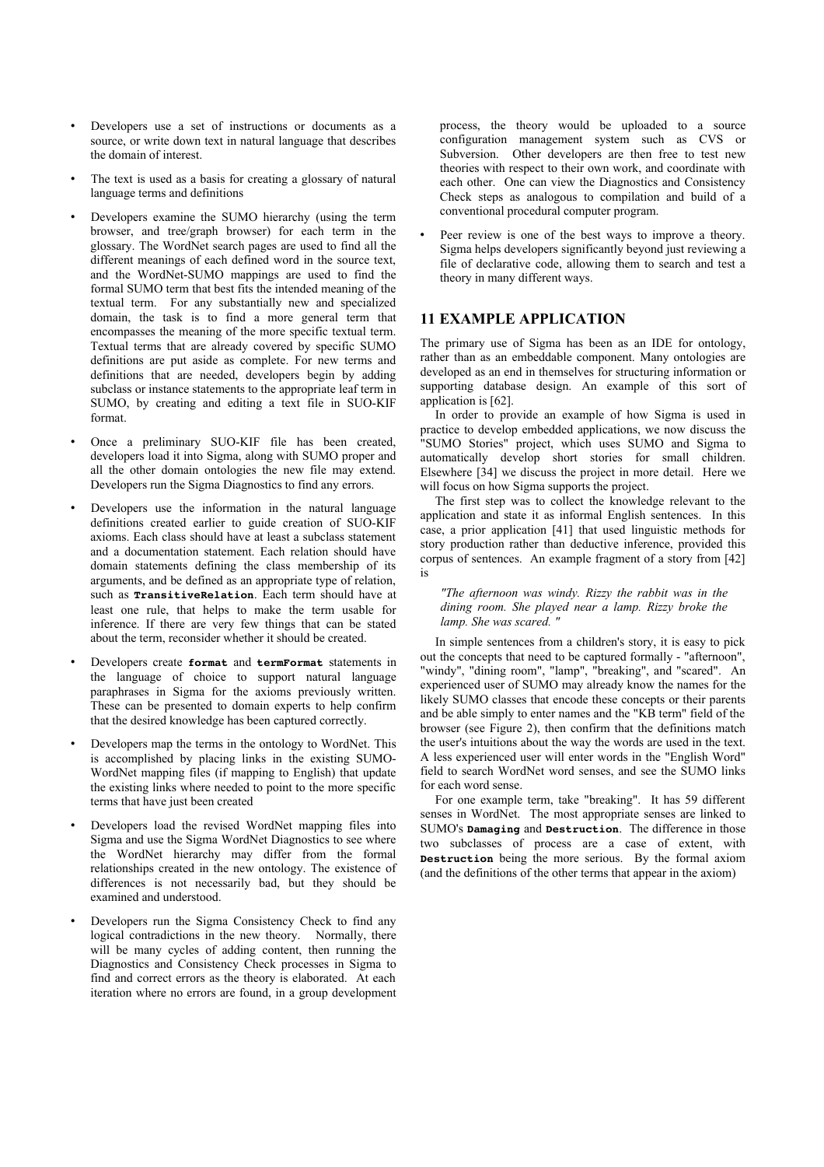- Developers use a set of instructions or documents as a source, or write down text in natural language that describes the domain of interest.
- The text is used as a basis for creating a glossary of natural language terms and definitions
- Developers examine the SUMO hierarchy (using the term browser, and tree/graph browser) for each term in the glossary. The WordNet search pages are used to find all the different meanings of each defined word in the source text, and the WordNet-SUMO mappings are used to find the formal SUMO term that best fits the intended meaning of the textual term. For any substantially new and specialized domain, the task is to find a more general term that encompasses the meaning of the more specific textual term. Textual terms that are already covered by specific SUMO definitions are put aside as complete. For new terms and definitions that are needed, developers begin by adding subclass or instance statements to the appropriate leaf term in SUMO, by creating and editing a text file in SUO-KIF format.
- Once a preliminary SUO-KIF file has been created, developers load it into Sigma, along with SUMO proper and all the other domain ontologies the new file may extend. Developers run the Sigma Diagnostics to find any errors.
- Developers use the information in the natural language definitions created earlier to guide creation of SUO-KIF axioms. Each class should have at least a subclass statement and a documentation statement. Each relation should have domain statements defining the class membership of its arguments, and be defined as an appropriate type of relation, such as **TransitiveRelation**. Each term should have at least one rule, that helps to make the term usable for inference. If there are very few things that can be stated about the term, reconsider whether it should be created.
- Developers create **format** and **termFormat** statements in the language of choice to support natural language paraphrases in Sigma for the axioms previously written. These can be presented to domain experts to help confirm that the desired knowledge has been captured correctly.
- Developers map the terms in the ontology to WordNet. This is accomplished by placing links in the existing SUMO-WordNet mapping files (if mapping to English) that update the existing links where needed to point to the more specific terms that have just been created
- Developers load the revised WordNet mapping files into Sigma and use the Sigma WordNet Diagnostics to see where the WordNet hierarchy may differ from the formal relationships created in the new ontology. The existence of differences is not necessarily bad, but they should be examined and understood.
- Developers run the Sigma Consistency Check to find any logical contradictions in the new theory. Normally, there will be many cycles of adding content, then running the Diagnostics and Consistency Check processes in Sigma to find and correct errors as the theory is elaborated. At each iteration where no errors are found, in a group development

process, the theory would be uploaded to a source configuration management system such as CVS or Subversion. Other developers are then free to test new theories with respect to their own work, and coordinate with each other. One can view the Diagnostics and Consistency Check steps as analogous to compilation and build of a conventional procedural computer program.

Peer review is one of the best ways to improve a theory. Sigma helps developers significantly beyond just reviewing a file of declarative code, allowing them to search and test a theory in many different ways.

# **11 EXAMPLE APPLICATION**

The primary use of Sigma has been as an IDE for ontology, rather than as an embeddable component. Many ontologies are developed as an end in themselves for structuring information or supporting database design. An example of this sort of application is [62].

In order to provide an example of how Sigma is used in practice to develop embedded applications, we now discuss the "SUMO Stories" project, which uses SUMO and Sigma to automatically develop short stories for small children. Elsewhere [34] we discuss the project in more detail. Here we will focus on how Sigma supports the project.

The first step was to collect the knowledge relevant to the application and state it as informal English sentences. In this case, a prior application [41] that used linguistic methods for story production rather than deductive inference, provided this corpus of sentences. An example fragment of a story from [42] is

*"The afternoon was windy. Rizzy the rabbit was in the dining room. She played near a lamp. Rizzy broke the lamp. She was scared. "*

In simple sentences from a children's story, it is easy to pick out the concepts that need to be captured formally - "afternoon", "windy", "dining room", "lamp", "breaking", and "scared". An experienced user of SUMO may already know the names for the likely SUMO classes that encode these concepts or their parents and be able simply to enter names and the "KB term" field of the browser (see Figure 2), then confirm that the definitions match the user's intuitions about the way the words are used in the text. A less experienced user will enter words in the "English Word" field to search WordNet word senses, and see the SUMO links for each word sense.

For one example term, take "breaking". It has 59 different senses in WordNet. The most appropriate senses are linked to SUMO's **Damaging** and **Destruction**. The difference in those two subclasses of process are a case of extent, with **Destruction** being the more serious. By the formal axiom (and the definitions of the other terms that appear in the axiom)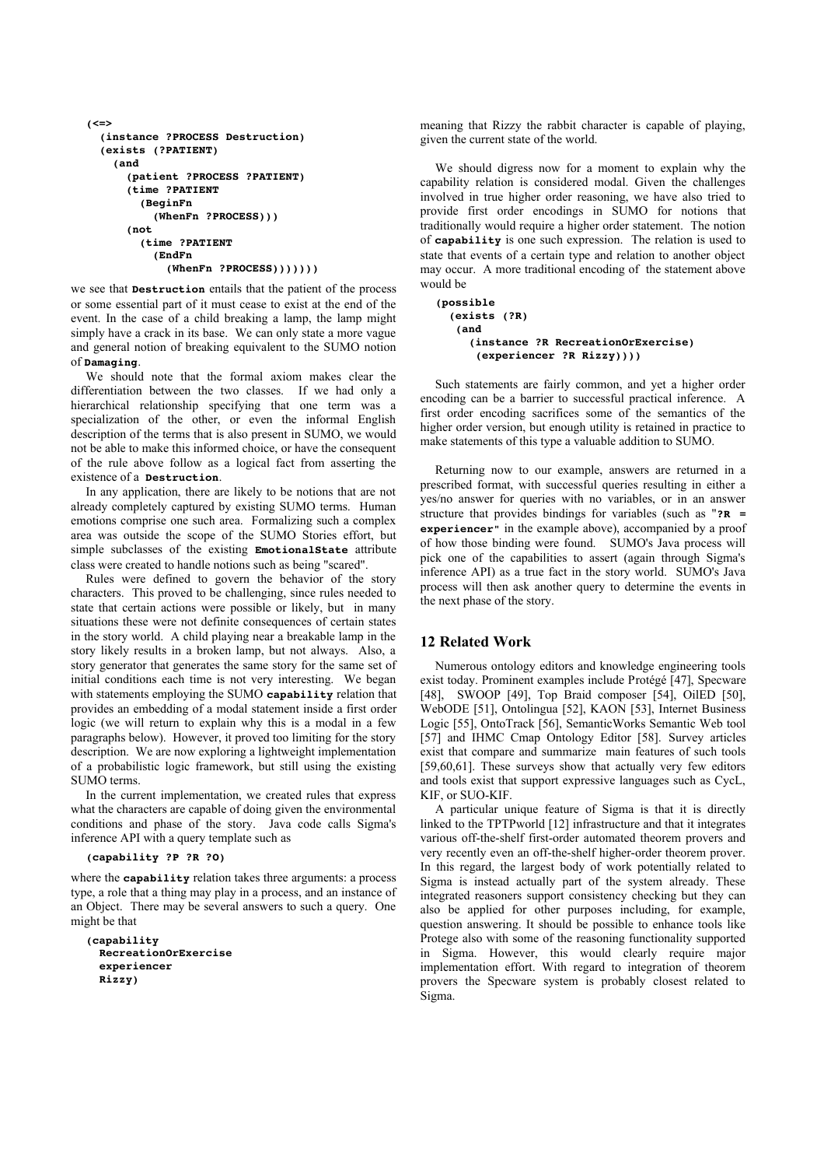```
(<=>
    (instance ?PROCESS Destruction)
     (exists (?PATIENT)
         (and
               (patient ?PROCESS ?PATIENT)
               (time ?PATIENT
                   (BeginFn
                         (WhenFn ?PROCESS)))
               (not
                    (time ?PATIENT
                         (EndFn
                  (\text{WhenFn } ? \text{PROCESS}))))))
```
we see that **Destruction** entails that the patient of the process or some essential part of it must cease to exist at the end of the event. In the case of a child breaking a lamp, the lamp might simply have a crack in its base. We can only state a more vague and general notion of breaking equivalent to the SUMO notion of **Damaging**.

We should note that the formal axiom makes clear the differentiation between the two classes. If we had only a hierarchical relationship specifying that one term was a specialization of the other, or even the informal English description of the terms that is also present in SUMO, we would not be able to make this informed choice, or have the consequent of the rule above follow as a logical fact from asserting the existence of a **Destruction**.

In any application, there are likely to be notions that are not already completely captured by existing SUMO terms. Human emotions comprise one such area. Formalizing such a complex area was outside the scope of the SUMO Stories effort, but simple subclasses of the existing **EmotionalState** attribute class were created to handle notions such as being "scared".

Rules were defined to govern the behavior of the story characters. This proved to be challenging, since rules needed to state that certain actions were possible or likely, but in many situations these were not definite consequences of certain states in the story world. A child playing near a breakable lamp in the story likely results in a broken lamp, but not always. Also, a story generator that generates the same story for the same set of initial conditions each time is not very interesting. We began with statements employing the SUMO **capability** relation that provides an embedding of a modal statement inside a first order logic (we will return to explain why this is a modal in a few paragraphs below). However, it proved too limiting for the story description. We are now exploring a lightweight implementation of a probabilistic logic framework, but still using the existing SUMO terms.

In the current implementation, we created rules that express what the characters are capable of doing given the environmental conditions and phase of the story. Java code calls Sigma's inference API with a query template such as

### **(capability ?P ?R ?O)**

where the **capability** relation takes three arguments: a process type, a role that a thing may play in a process, and an instance of an Object. There may be several answers to such a query. One might be that

```
(capability 
    RecreationOrExercise 
    experiencer 
    Rizzy)
```
meaning that Rizzy the rabbit character is capable of playing, given the current state of the world.

We should digress now for a moment to explain why the capability relation is considered modal. Given the challenges involved in true higher order reasoning, we have also tried to provide first order encodings in SUMO for notions that traditionally would require a higher order statement. The notion of **capability** is one such expression. The relation is used to state that events of a certain type and relation to another object may occur. A more traditional encoding of the statement above would be

```
(possible
    (exists (?R)
      (and
          (instance ?R RecreationOrExercise)
             (experiencer ?R Rizzy))))
```
Such statements are fairly common, and yet a higher order encoding can be a barrier to successful practical inference. A first order encoding sacrifices some of the semantics of the higher order version, but enough utility is retained in practice to make statements of this type a valuable addition to SUMO.

Returning now to our example, answers are returned in a prescribed format, with successful queries resulting in either a yes/no answer for queries with no variables, or in an answer structure that provides bindings for variables (such as "**?R = experiencer"** in the example above), accompanied by a proof of how those binding were found. SUMO's Java process will pick one of the capabilities to assert (again through Sigma's inference API) as a true fact in the story world. SUMO's Java process will then ask another query to determine the events in the next phase of the story.

## **12 Related Work**

Numerous ontology editors and knowledge engineering tools exist today. Prominent examples include Protégé [47], Specware [48], SWOOP [49], Top Braid composer [54], OilED [50], WebODE [51], Ontolingua [52], KAON [53], Internet Business Logic [55], OntoTrack [56], SemanticWorks Semantic Web tool [57] and IHMC Cmap Ontology Editor [58]. Survey articles exist that compare and summarize main features of such tools [59,60,61]. These surveys show that actually very few editors and tools exist that support expressive languages such as CycL, KIF, or SUO-KIF.

A particular unique feature of Sigma is that it is directly linked to the TPTPworld [12] infrastructure and that it integrates various off-the-shelf first-order automated theorem provers and very recently even an off-the-shelf higher-order theorem prover. In this regard, the largest body of work potentially related to Sigma is instead actually part of the system already. These integrated reasoners support consistency checking but they can also be applied for other purposes including, for example, question answering. It should be possible to enhance tools like Protege also with some of the reasoning functionality supported in Sigma. However, this would clearly require major implementation effort. With regard to integration of theorem provers the Specware system is probably closest related to Sigma.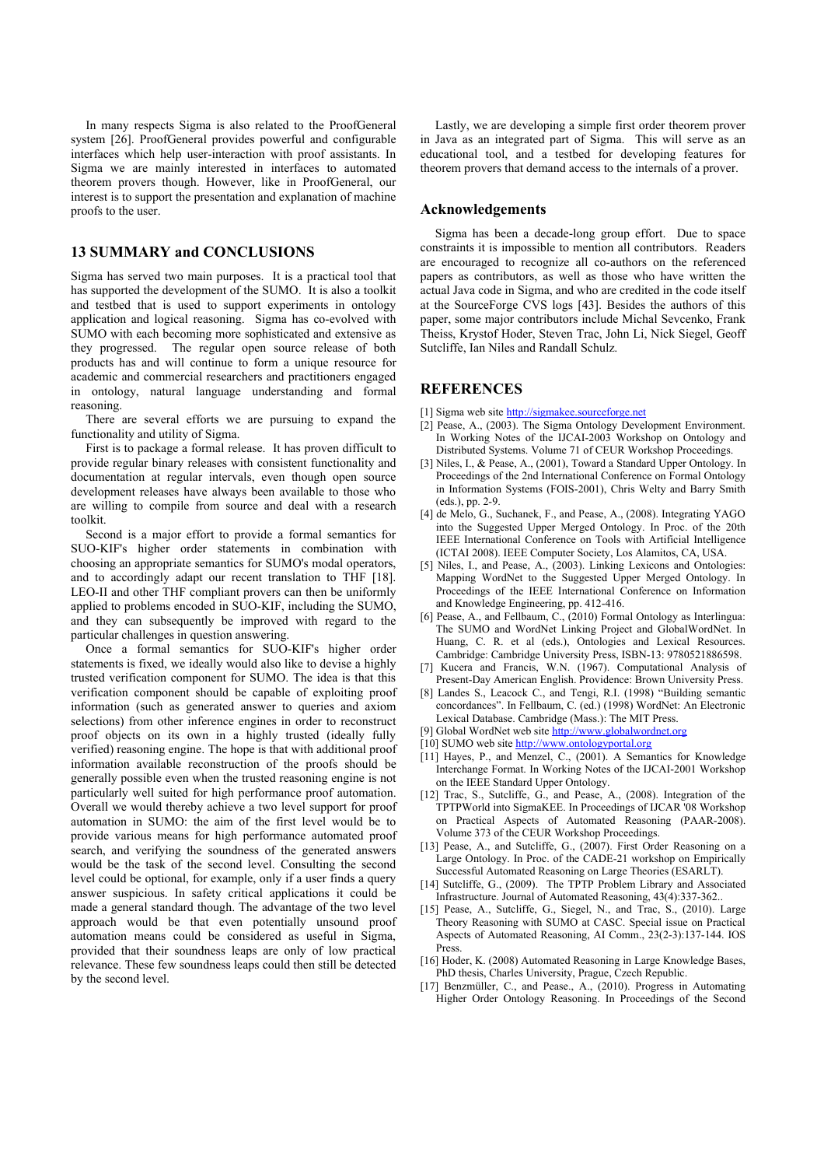In many respects Sigma is also related to the ProofGeneral system [26]. ProofGeneral provides powerful and configurable interfaces which help user-interaction with proof assistants. In Sigma we are mainly interested in interfaces to automated theorem provers though. However, like in ProofGeneral, our interest is to support the presentation and explanation of machine proofs to the user.

# **13 SUMMARY and CONCLUSIONS**

Sigma has served two main purposes. It is a practical tool that has supported the development of the SUMO. It is also a toolkit and testbed that is used to support experiments in ontology application and logical reasoning. Sigma has co-evolved with SUMO with each becoming more sophisticated and extensive as they progressed. The regular open source release of both products has and will continue to form a unique resource for academic and commercial researchers and practitioners engaged in ontology, natural language understanding and formal reasoning.

There are several efforts we are pursuing to expand the functionality and utility of Sigma.

First is to package a formal release. It has proven difficult to provide regular binary releases with consistent functionality and documentation at regular intervals, even though open source development releases have always been available to those who are willing to compile from source and deal with a research toolkit.

Second is a major effort to provide a formal semantics for SUO-KIF's higher order statements in combination with choosing an appropriate semantics for SUMO's modal operators, and to accordingly adapt our recent translation to THF [18]. LEO-II and other THF compliant provers can then be uniformly applied to problems encoded in SUO-KIF, including the SUMO, and they can subsequently be improved with regard to the particular challenges in question answering.

Once a formal semantics for SUO-KIF's higher order statements is fixed, we ideally would also like to devise a highly trusted verification component for SUMO. The idea is that this verification component should be capable of exploiting proof information (such as generated answer to queries and axiom selections) from other inference engines in order to reconstruct proof objects on its own in a highly trusted (ideally fully verified) reasoning engine. The hope is that with additional proof information available reconstruction of the proofs should be generally possible even when the trusted reasoning engine is not particularly well suited for high performance proof automation. Overall we would thereby achieve a two level support for proof automation in SUMO: the aim of the first level would be to provide various means for high performance automated proof search, and verifying the soundness of the generated answers would be the task of the second level. Consulting the second level could be optional, for example, only if a user finds a query answer suspicious. In safety critical applications it could be made a general standard though. The advantage of the two level approach would be that even potentially unsound proof automation means could be considered as useful in Sigma, provided that their soundness leaps are only of low practical relevance. These few soundness leaps could then still be detected by the second level.

Lastly, we are developing a simple first order theorem prover in Java as an integrated part of Sigma. This will serve as an educational tool, and a testbed for developing features for theorem provers that demand access to the internals of a prover.

## **Acknowledgements**

Sigma has been a decade-long group effort. Due to space constraints it is impossible to mention all contributors. Readers are encouraged to recognize all co-authors on the referenced papers as contributors, as well as those who have written the actual Java code in Sigma, and who are credited in the code itself at the SourceForge CVS logs [43]. Besides the authors of this paper, some major contributors include Michal Sevcenko, Frank Theiss, Krystof Hoder, Steven Trac, John Li, Nick Siegel, Geoff Sutcliffe, Ian Niles and Randall Schulz.

# **REFERENCES**

- [1] Sigma web site [http://sigmakee.sourceforge.net](http://sigmakee.sourceforge.net/)
- [2] Pease, A., (2003). The Sigma Ontology Development Environment. In Working Notes of the IJCAI-2003 Workshop on Ontology and Distributed Systems. Volume 71 of CEUR Workshop Proceedings.
- [3] Niles, I., & Pease, A., (2001), Toward a Standard Upper Ontology. In Proceedings of the 2nd International Conference on Formal Ontology in Information Systems (FOIS-2001), Chris Welty and Barry Smith (eds.), pp. 2-9.
- [4] de Melo, G., Suchanek, F., and Pease, A., (2008). Integrating YAGO into the Suggested Upper Merged Ontology. In Proc. of the 20th IEEE International Conference on Tools with Artificial Intelligence (ICTAI 2008). IEEE Computer Society, Los Alamitos, CA, USA.
- [5] Niles, I., and Pease, A., (2003). Linking Lexicons and Ontologies: Mapping WordNet to the Suggested Upper Merged Ontology. In Proceedings of the IEEE International Conference on Information and Knowledge Engineering, pp. 412-416.
- [6] Pease, A., and Fellbaum, C., (2010) Formal Ontology as Interlingua: The SUMO and WordNet Linking Project and GlobalWordNet. In Huang, C. R. et al (eds.), Ontologies and Lexical Resources. Cambridge: Cambridge University Press, ISBN-13: 9780521886598.
- [7] Kucera and Francis, W.N. (1967). Computational Analysis of Present-Day American English. Providence: Brown University Press.
- [8] Landes S., Leacock C., and Tengi, R.I. (1998) "Building semantic concordances". In Fellbaum, C. (ed.) (1998) WordNet: An Electronic Lexical Database. Cambridge (Mass.): The MIT Press.
- [9] Global WordNet web site [http://www.globalwordnet.org](http://www.globalwordnet.org/)
- [10] SUMO web site [http://www.ontologyportal.org](http://www.ontologyportal.org/)
- [11] Hayes, P., and Menzel, C., (2001). A Semantics for Knowledge Interchange Format. In Working Notes of the IJCAI-2001 Workshop on the IEEE Standard Upper Ontology.
- [12] Trac, S., Sutcliffe, G., and Pease, A., (2008). Integration of the TPTPWorld into SigmaKEE. In Proceedings of IJCAR '08 Workshop on Practical Aspects of Automated Reasoning (PAAR-2008). Volume 373 of the CEUR Workshop Proceedings.
- [13] Pease, A., and Sutcliffe, G., (2007). First Order Reasoning on a Large Ontology. In Proc. of the CADE-21 workshop on Empirically Successful Automated Reasoning on Large Theories (ESARLT).
- [14] Sutcliffe, G., (2009). The TPTP Problem Library and Associated Infrastructure. Journal of Automated Reasoning, 43(4):337-362..
- [15] Pease, A., Sutcliffe, G., Siegel, N., and Trac, S., (2010). Large Theory Reasoning with SUMO at CASC. Special issue on Practical Aspects of Automated Reasoning, AI Comm., 23(2-3):137-144. IOS Press.
- [16] Hoder, K. (2008) Automated Reasoning in Large Knowledge Bases, PhD thesis, Charles University, Prague, Czech Republic.
- [17] Benzmüller, C., and Pease., A., (2010). Progress in Automating Higher Order Ontology Reasoning. In Proceedings of the Second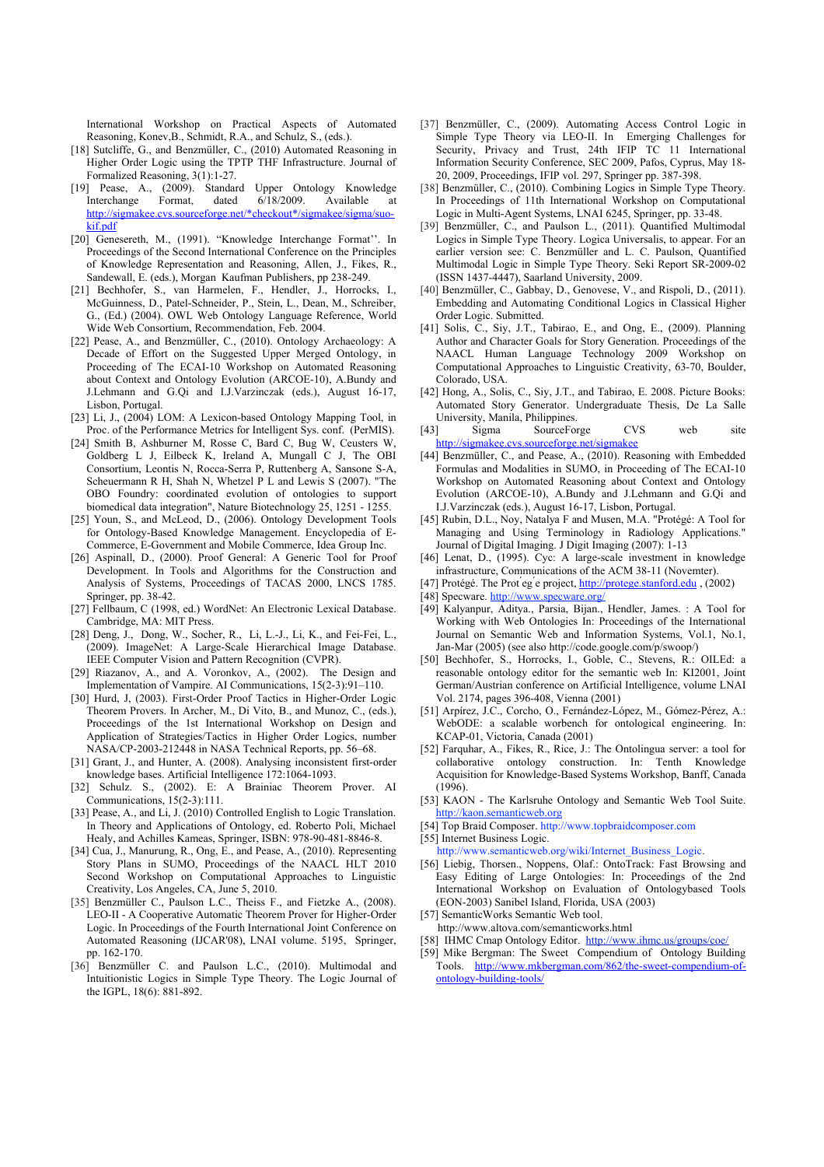International Workshop on Practical Aspects of Automated Reasoning, Konev,B., Schmidt, R.A., and Schulz, S., (eds.).

- [18] Sutcliffe, G., and Benzmüller, C., (2010) Automated Reasoning in Higher Order Logic using the TPTP THF Infrastructure. Journal of Formalized Reasoning, 3(1):1-27.
- [19] Pease, A., (2009). Standard Upper Ontology Knowledge Interchange Format, dated 6/18/2009. Available at [http://sigmakee.cvs.sourceforge.net/\\*checkout\\*/sigmakee/sigma/suo](http://sigmakee.cvs.sourceforge.net/*checkout*/sigmakee/sigma/suo-kif.pdf)[kif.pdf](http://sigmakee.cvs.sourceforge.net/*checkout*/sigmakee/sigma/suo-kif.pdf)
- [20] Genesereth, M., (1991). "Knowledge Interchange Format''. In Proceedings of the Second International Conference on the Principles of Knowledge Representation and Reasoning, Allen, J., Fikes, R., Sandewall, E. (eds.), Morgan Kaufman Publishers, pp 238-249.
- [21] Bechhofer, S., van Harmelen, F., Hendler, J., Horrocks, I., McGuinness, D., Patel-Schneider, P., Stein, L., Dean, M., Schreiber, G., (Ed.) (2004). OWL Web Ontology Language Reference, World Wide Web Consortium, Recommendation, Feb. 2004.
- [22] Pease, A., and Benzmüller, C., (2010). Ontology Archaeology: A Decade of Effort on the Suggested Upper Merged Ontology, in Proceeding of The ECAI-10 Workshop on Automated Reasoning about Context and Ontology Evolution (ARCOE-10), A.Bundy and J.Lehmann and G.Qi and I.J.Varzinczak (eds.), August 16-17, Lisbon, Portugal.
- [23] Li, J., (2004) LOM: A Lexicon-based Ontology Mapping Tool, in Proc. of the Performance Metrics for Intelligent Sys. conf. (PerMIS).
- [24] Smith B, Ashburner M, Rosse C, Bard C, Bug W, Ceusters W Goldberg L J, Eilbeck K, Ireland A, Mungall C J, The OBI Consortium, Leontis N, Rocca-Serra P, Ruttenberg A, Sansone S-A, Scheuermann R H, Shah N, Whetzel P L and Lewis S (2007). "The OBO Foundry: coordinated evolution of ontologies to support biomedical data integration", Nature Biotechnology 25, 1251 - 1255.
- [25] Youn, S., and McLeod, D., (2006). Ontology Development Tools for Ontology-Based Knowledge Management. Encyclopedia of E-Commerce, E-Government and Mobile Commerce, Idea Group Inc.
- [26] Aspinall, D., (2000). Proof General: A Generic Tool for Proof Development. In Tools and Algorithms for the Construction and Analysis of Systems, Proceedings of TACAS 2000, LNCS 1785. Springer, pp. 38-42.
- [27] Fellbaum, C (1998, ed.) WordNet: An Electronic Lexical Database. Cambridge, MA: MIT Press.
- [28] Deng, J., Dong, W., Socher, R., Li, L.-J., Li, K., and Fei-Fei, L., (2009). ImageNet: A Large-Scale Hierarchical Image Database. IEEE Computer Vision and Pattern Recognition (CVPR).
- [29] Riazanov, A., and A. Voronkov, A., (2002). The Design and Implementation of Vampire. AI Communications, 15(2-3):91–110.
- [30] Hurd, J, (2003). First-Order Proof Tactics in Higher-Order Logic Theorem Provers. In Archer, M., Di Vito, B., and Munoz, C., (eds.), Proceedings of the 1st International Workshop on Design and Application of Strategies/Tactics in Higher Order Logics, number NASA/CP-2003-212448 in NASA Technical Reports, pp. 56–68.
- [31] Grant, J., and Hunter, A. (2008). Analysing inconsistent first-order knowledge bases. Artificial Intelligence 172:1064-1093.
- [32] Schulz. S., (2002). E: A Brainiac Theorem Prover. AI Communications, 15(2-3):111.
- [33] Pease, A., and Li, J. (2010) Controlled English to Logic Translation. In Theory and Applications of Ontology, ed. Roberto Poli, Michael Healy, and Achilles Kameas, Springer, ISBN: 978-90-481-8846-8.
- [34] Cua, J., Manurung, R., Ong, E., and Pease, A., (2010). Representing Story Plans in SUMO, Proceedings of the NAACL HLT 2010 Second Workshop on Computational Approaches to Linguistic Creativity, Los Angeles, CA, June 5, 2010.
- [35] Benzmüller C., Paulson L.C., Theiss F., and Fietzke A., (2008). LEO-II - A Cooperative Automatic Theorem Prover for Higher-Order Logic. In Proceedings of the Fourth International Joint Conference on Automated Reasoning (IJCAR'08), LNAI volume. 5195, Springer, pp. 162-170.
- [36] Benzmüller C. and Paulson L.C., (2010). Multimodal and Intuitionistic Logics in Simple Type Theory. The Logic Journal of the IGPL, 18(6): 881-892.
- [37] Benzmüller, C., (2009). Automating Access Control Logic in Simple Type Theory via LEO-II. In Emerging Challenges for Security, Privacy and Trust, 24th IFIP TC 11 International Information Security Conference, SEC 2009, Pafos, Cyprus, May 18- 20, 2009, Proceedings, IFIP vol. 297, Springer pp. 387-398.
- [38] Benzmüller, C., (2010). Combining Logics in Simple Type Theory. In Proceedings of 11th International Workshop on Computational Logic in Multi-Agent Systems, LNAI 6245, Springer, pp. 33-48.
- [39] Benzmüller, C., and Paulson L., (2011). Quantified Multimodal Logics in Simple Type Theory. Logica Universalis, to appear. For an earlier version see: C. Benzmüller and L. C. Paulson, Quantified Multimodal Logic in Simple Type Theory. Seki Report SR-2009-02 (ISSN 1437-4447), Saarland University, 2009.
- [40] Benzmüller, C., Gabbay, D., Genovese, V., and Rispoli, D., (2011). Embedding and Automating Conditional Logics in Classical Higher Order Logic. Submitted.
- [41] Solis, C., Siy, J.T., Tabirao, E., and Ong, E., (2009). Planning Author and Character Goals for Story Generation. Proceedings of the NAACL Human Language Technology 2009 Workshop on Computational Approaches to Linguistic Creativity, 63-70, Boulder, Colorado, USA.
- [42] Hong, A., Solis, C., Siy, J.T., and Tabirao, E. 2008. Picture Books: Automated Story Generator. Undergraduate Thesis, De La Salle University, Manila, Philippines.
- Sigma SourceForge CVS web site <http://sigmakee.cvs.sourceforge.net/sigmakee>
- [44] Benzmüller, C., and Pease, A., (2010). Reasoning with Embedded Formulas and Modalities in SUMO, in Proceeding of The ECAI-10 Workshop on Automated Reasoning about Context and Ontology Evolution (ARCOE-10), A.Bundy and J.Lehmann and G.Qi and I.J.Varzinczak (eds.), August 16-17, Lisbon, Portugal.
- [45] Rubin, D.L., Noy, Natalya F and Musen, M.A. "Protégé: A Tool for Managing and Using Terminology in Radiology Applications." Journal of Digital Imaging. J Digit Imaging (2007): 1-13
- [46] Lenat, D., (1995). Cyc: A large-scale investment in knowledge infrastructure, Communications of the ACM 38-11 (Novemter).
- [47] Protégé. The Prot eg e project, http://protege.stanford.edu, (2002)
- [48] Specware. http://www.specware.org/
- [49] Kalyanpur, Aditya., Parsia, Bijan., Hendler, James. : A Tool for Working with Web Ontologies In: Proceedings of the International Journal on Semantic Web and Information Systems, Vol.1, No.1, Jan-Mar (2005) (see also http://code.google.com/p/swoop/)
- [50] Bechhofer, S., Horrocks, I., Goble, C., Stevens, R.: OILEd: a reasonable ontology editor for the semantic web In: KI2001, Joint German/Austrian conference on Artificial Intelligence, volume LNAI Vol. 2174, pages 396-408, Vienna (2001)
- [51] Arpírez, J.C., Corcho, O., Fernández-López, M., Gómez-Pérez, A.: WebODE: a scalable worbench for ontological engineering. In: KCAP-01, Victoria, Canada (2001)
- [52] Farquhar, A., Fikes, R., Rice, J.: The Ontolingua server: a tool for collaborative ontology construction. In: Tenth Knowledge Acquisition for Knowledge-Based Systems Workshop, Banff, Canada (1996).
- [53] KAON The Karlsruhe Ontology and Semantic Web Tool Suite. [http://kaon.semanticweb.org](http://kaon.semanticweb.org/)
- [54] Top Braid Composer. http://www.topbraidcomposer.com

[55] Internet Business Logic.

- http://www.semanticweb.org/wiki/Internet\_Business\_Logic. [56] Liebig, Thorsen., Noppens, Olaf.: OntoTrack: Fast Browsing and Easy Editing of Large Ontologies: In: Proceedings of the 2nd International Workshop on Evaluation of Ontologybased Tools (EON-2003) Sanibel Island, Florida, USA (2003)
- [57] SemanticWorks Semantic Web tool.

http://www.altova.com/semanticworks.html

- [58] IHMC Cmap Ontology Editor. <http://www.ihmc.us/groups/coe/>
- [59] Mike Bergman: The Sweet Compendium of Ontology Building Tools. [http://www.mkbergman.com/862/the-sweet-compendium-of](http://www.mkbergman.com/862/the-sweet-compendium-of-ontology-building-tools/)[ontology-building-tools/](http://www.mkbergman.com/862/the-sweet-compendium-of-ontology-building-tools/)